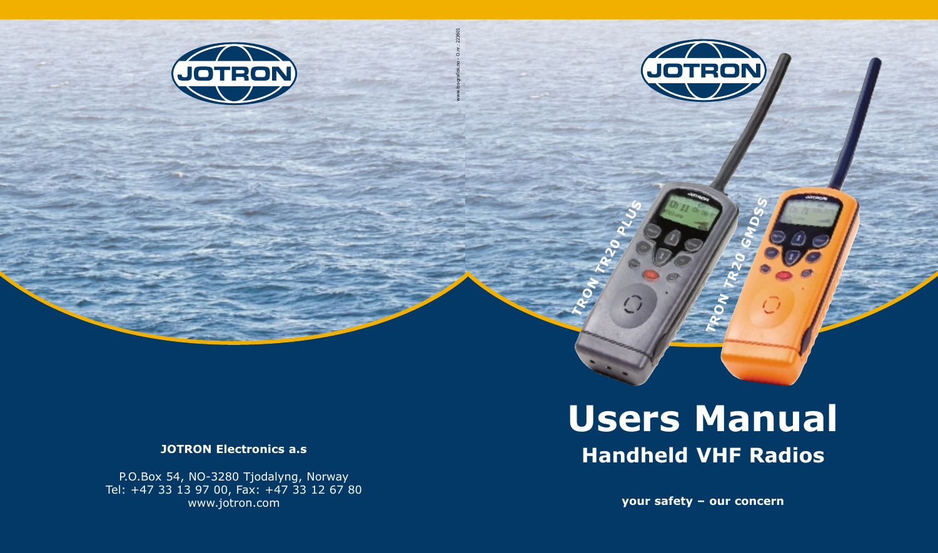![](_page_0_Picture_0.jpeg)

### **JOTRON Electronics a.s**

P.O.Box 54, NO-3280 Tjodalyng, Norway Tel: +47 33 13 97 00, Fax: +47 33 12 67 80 www.jotron.com

# **Users Manual Handheld VHF Radios**

**your safety – our concern**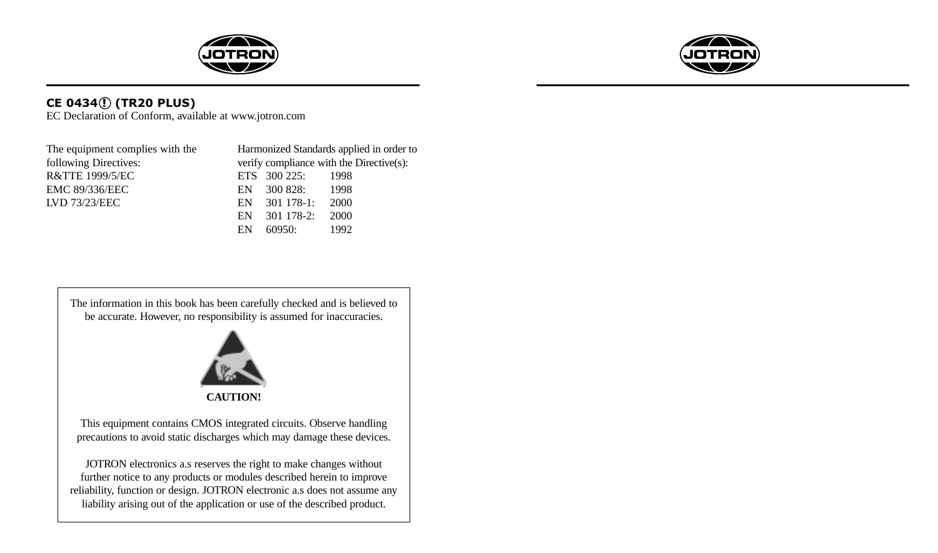![](_page_1_Picture_0.jpeg)

![](_page_1_Picture_1.jpeg)

### **CE 0434 ! (TR20 PLUS)**

EC Declaration of Conform, available at www.jotron.com

| The equipment complies with the | Harmonized Standards applied in order to |  |
|---------------------------------|------------------------------------------|--|
| following Directives:           | verify compliance with the Directive(s): |  |
| <b>R&amp;TTE 1999/5/EC</b>      | ETS 300 225:<br>1998                     |  |
| <b>EMC 89/336/EEC</b>           | 300 828:<br>1998<br>EN.                  |  |
| LVD 73/23/EEC                   | 301 178-1:<br>-2000<br>EN.               |  |
|                                 | 301 178-2:<br>EN.<br>- 2000              |  |
|                                 | 1992<br>60950:<br>EN                     |  |

The information in this book has been carefully checked and is believed to be accurate. However, no responsibility is assumed for inaccuracies.

![](_page_1_Picture_6.jpeg)

This equipment contains CMOS integrated circuits. Observe handling

precautions to avoid static discharges which may damage these devices.

JOTRON electronics a.s reserves the right to make changes without further notice to any products or modules described herein to improve reliability, function or design. JOTRON electronic a.s does not assume any liability arising out of the application or use of the described product.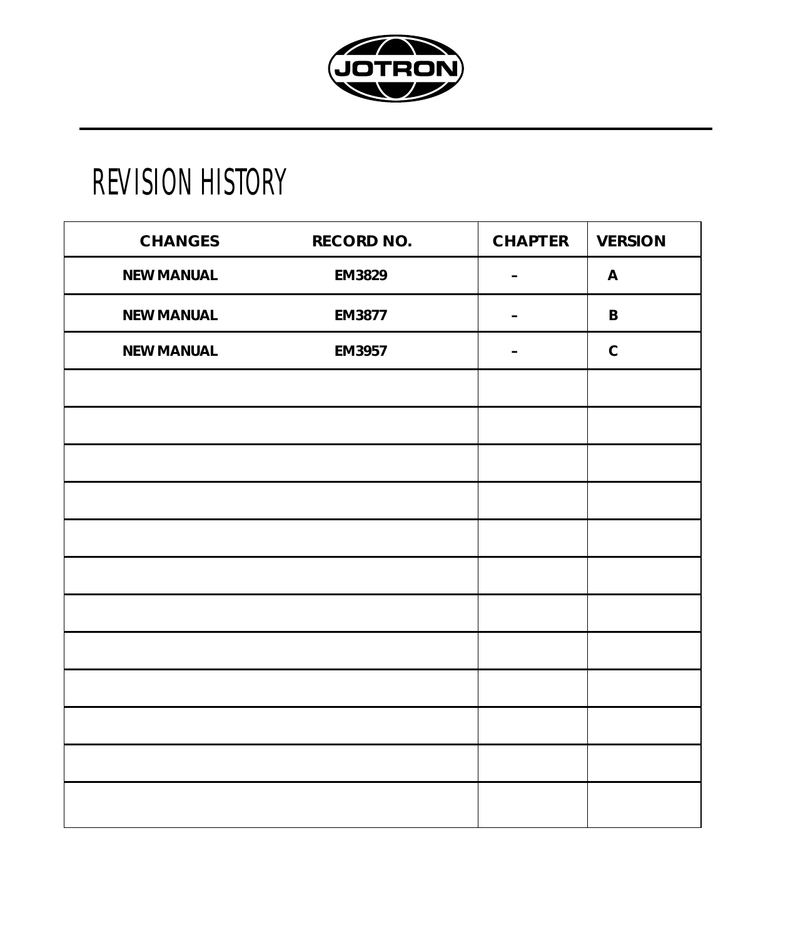![](_page_2_Picture_0.jpeg)

# REVISION HISTORY

| <b>CHANGES</b>    | <b>RECORD NO.</b> | <b>CHAPTER</b>               | <b>VERSION</b> |
|-------------------|-------------------|------------------------------|----------------|
| <b>NEW MANUAL</b> | <b>EM3829</b>     | $\qquad \qquad \blacksquare$ | Α              |
| <b>NEW MANUAL</b> | <b>EM3877</b>     |                              | В              |
| <b>NEW MANUAL</b> | <b>EM3957</b>     |                              | C              |
|                   |                   |                              |                |
|                   |                   |                              |                |
|                   |                   |                              |                |
|                   |                   |                              |                |
|                   |                   |                              |                |
|                   |                   |                              |                |
|                   |                   |                              |                |
|                   |                   |                              |                |
|                   |                   |                              |                |
|                   |                   |                              |                |
|                   |                   |                              |                |
|                   |                   |                              |                |
|                   |                   |                              |                |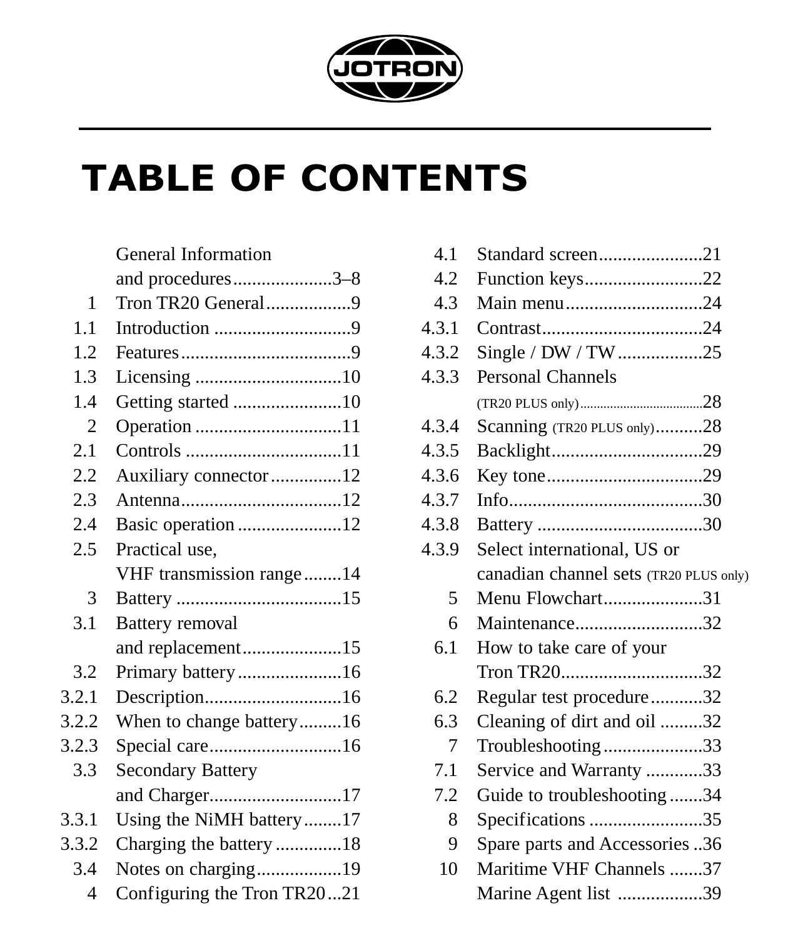![](_page_3_Picture_0.jpeg)

# **TABLE OF CONTENTS**

|                | General Information         |
|----------------|-----------------------------|
|                | and procedures3-8           |
| 1              | Tron TR20 General9          |
| 1.1            |                             |
| 1.2            |                             |
| 1.3            |                             |
| 1.4            | Getting started 10          |
| $\mathfrak{D}$ |                             |
| 2.1            |                             |
| 2.2            | Auxiliary connector 12      |
| 2.3            |                             |
| 2.4            | Basic operation 12          |
| 2.5            | Practical use,              |
|                | VHF transmission range14    |
| 3              |                             |
| 3.1            | Battery removal             |
|                | and replacement15           |
| 3.2            | Primary battery16           |
| 3.2.1          | Description16               |
| 3.2.2          | When to change battery16    |
| 3.2.3          | Special care16              |
| 3.3            | Secondary Battery           |
|                | and Charger17               |
| 3.3.1          | Using the NiMH battery17    |
| 3.3.2          | Charging the battery 18     |
| 3.4            | Notes on charging19         |
| 4              | Configuring the Tron TR2021 |

| 4.1   | Standard screen21                      |
|-------|----------------------------------------|
| 4.2   | Function keys22                        |
| 4.3   | Main menu24                            |
| 4.3.1 |                                        |
| 4.3.2 | Single / DW / TW 25                    |
| 4.3.3 | <b>Personal Channels</b>               |
|       |                                        |
| 4.3.4 | Scanning (TR20 PLUS only)28            |
| 4.3.5 |                                        |
| 4.3.6 |                                        |
| 4.3.7 |                                        |
| 4.3.8 |                                        |
| 4.3.9 | Select international, US or            |
|       | canadian channel sets (TR20 PLUS only) |
| 5     | Menu Flowchart31                       |
| 6     | Maintenance32                          |
| 6.1   | How to take care of your               |
|       | Tron TR2032                            |
| 6.2   | Regular test procedure32               |
| 6.3   | Cleaning of dirt and oil 32            |
| 7     | Troubleshooting33                      |
| 7.1   | Service and Warranty 33                |
| 7.2   | Guide to troubleshooting34             |
| 8     | Specifications 35                      |
| 9     | Spare parts and Accessories 36         |
| 10    | Maritime VHF Channels 37               |
|       | Marine Agent list 39                   |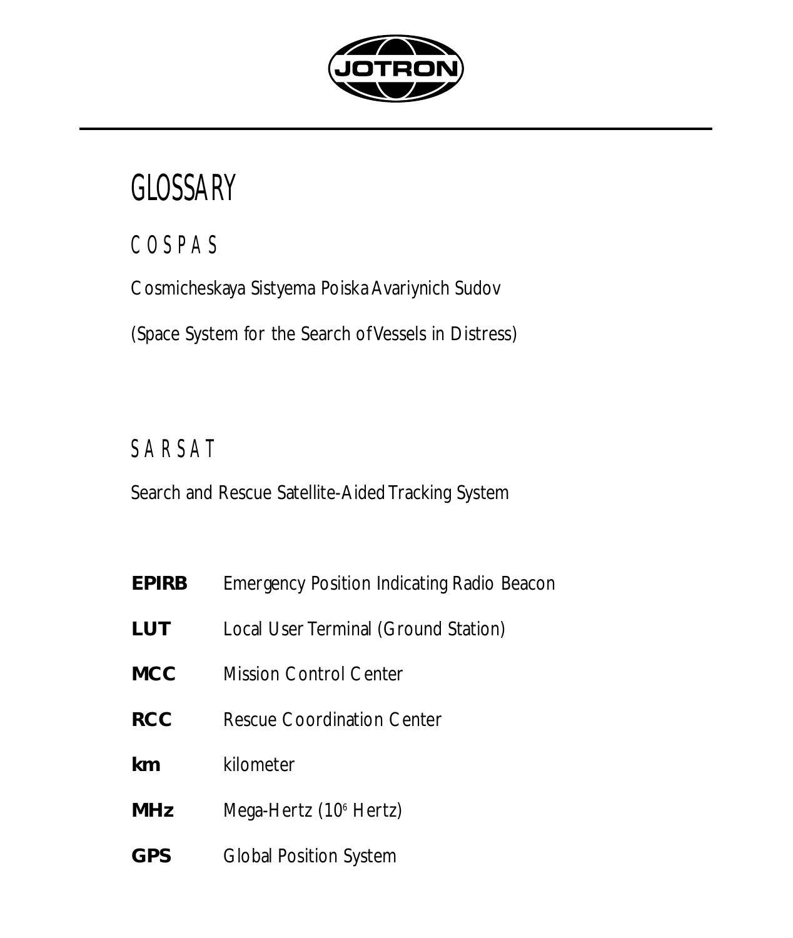![](_page_4_Picture_0.jpeg)

# **GLOSSARY**

COSPAS

Cosmicheskaya Sistyema Poiska Avariynich Sudov

(Space System for the Search of Vessels in Distress)

### SARSAT

Search and Rescue Satellite-Aided Tracking System

- **EPIRB** Emergency Position Indicating Radio Beacon
- **LUT** Local User Terminal (Ground Station)
- **MCC** Mission Control Center
- **RCC** Rescue Coordination Center
- **km** kilometer
- **MHz** Mega-Hertz (10<sup>6</sup> Hertz)
- **GPS** Global Position System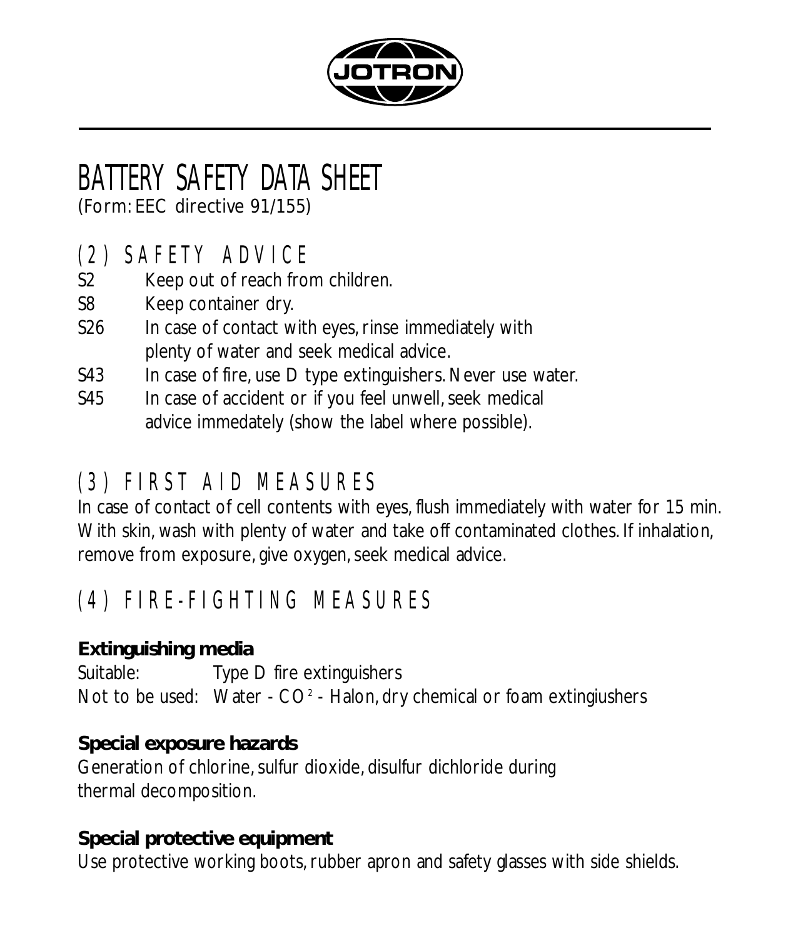![](_page_5_Picture_0.jpeg)

# BATTERY SAFETY DATA SHEET

(Form: EEC directive 91/155)

### (2) SAFETY ADVICE

- S<sub>2</sub> Keep out of reach from children.
- S8 Keep container dry.
- S26 In case of contact with eyes, rinse immediately with plenty of water and seek medical advice.
- S43 In case of fire, use D type extinguishers. Never use water.
- S45 In case of accident or if you feel unwell, seek medical advice immedately (show the label where possible).

## (3) FIRST AID MEASURES

In case of contact of cell contents with eyes, flush immediately with water for 15 min. With skin, wash with plenty of water and take off contaminated clothes. If inhalation, remove from exposure, give oxygen, seek medical advice.

## (4) FIRE-FIGHTING MEASURES

### **Extinguishing media**

Suitable: Type D fire extinguishers Not to be used: Water -  $CO<sup>2</sup>$  - Halon, dry chemical or foam extingiushers

### **Special exposure hazards**

Generation of chlorine, sulfur dioxide, disulfur dichloride during thermal decomposition.

### **Special protective equipment**

Use protective working boots, rubber apron and safety glasses with side shields.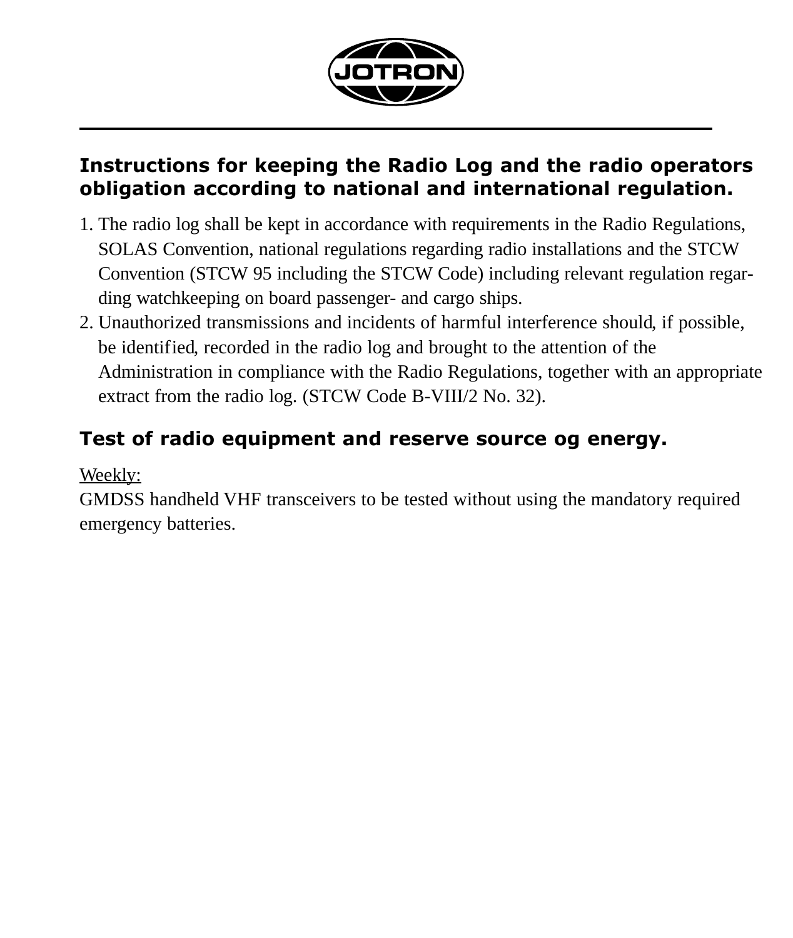![](_page_6_Picture_0.jpeg)

### **Instructions for keeping the Radio Log and the radio operators obligation according to national and international regulation.**

- 1. The radio log shall be kept in accordance with requirements in the Radio Regulations, SOLAS Convention, national regulations regarding radio installations and the STCW Convention (STCW 95 including the STCW Code) including relevant regulation regarding watchkeeping on board passenger- and cargo ships.
- 2. Unauthorized transmissions and incidents of harmful interference should, if possible, be identified, recorded in the radio log and brought to the attention of the Administration in compliance with the Radio Regulations, together with an appropriate extract from the radio log. (STCW Code B-VIII/2 No. 32).

### **Test of radio equipment and reserve source og energy.**

### Weekly:

GMDSS handheld VHF transceivers to be tested without using the mandatory required emergency batteries.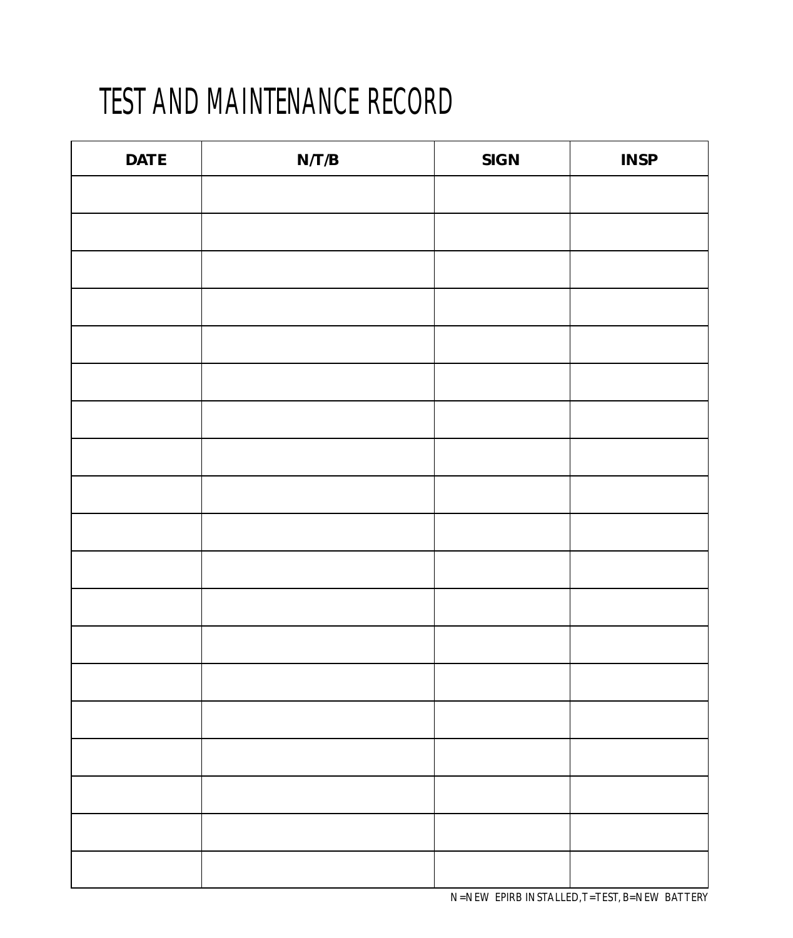# TEST AND MAINTENANCE RECORD

| <b>DATE</b> | N/T/B | <b>SIGN</b> | <b>INSP</b> |
|-------------|-------|-------------|-------------|
|             |       |             |             |
|             |       |             |             |
|             |       |             |             |
|             |       |             |             |
|             |       |             |             |
|             |       |             |             |
|             |       |             |             |
|             |       |             |             |
|             |       |             |             |
|             |       |             |             |
|             |       |             |             |
|             |       |             |             |
|             |       |             |             |
|             |       |             |             |
|             |       |             |             |
|             |       |             |             |
|             |       |             |             |
|             |       |             |             |
|             |       |             |             |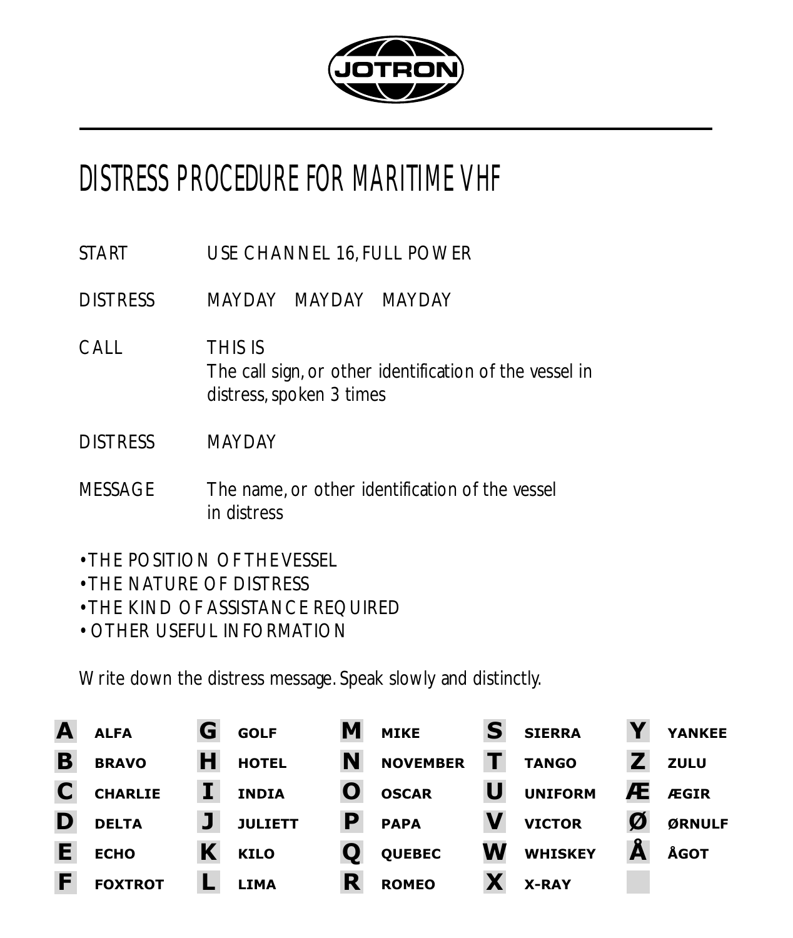![](_page_8_Picture_0.jpeg)

# DISTRESS PROCEDURE FOR MARITIME VHF

START USE CHANNEL 16, FULL POWER

DISTRESS MAYDAY MAYDAY MAYDAY

- CALL THIS IS The call sign, or other identification of the vessel in distress, spoken 3 times
- DISTRESS MAYDAY
- MESSAGE The name, or other identification of the vessel in distress
- THE POSITION OF THE VESSEL
- THE NATURE OF DISTRESS
- THE KIND OF ASSISTANCE REQUIRED
- OTHER LISEFUL INFORMATION

Write down the distress message. Speak slowly and distinctly.

| A  | <b>ALFA</b>    | G  | <b>GOLF</b>  |   | M MIKE          |   | <b>S</b> SIERRA  | Y YANKEE          |
|----|----------------|----|--------------|---|-----------------|---|------------------|-------------------|
| B  | <b>BRAVO</b>   | H  | <b>HOTEL</b> |   | N NOVEMBER      |   | T TANGO          | $\mathsf{Z}$ zuru |
|    | C CHARLIE      |    | I INDIA      |   | <b>O</b> OSCAR  |   | U UNIFORM        | Æ ÆGIR            |
| D  | <b>DELTA</b>   |    | $J$ JULIETT  |   | P PAPA          |   | <b>V</b> VICTOR  | <b>Ø</b> ØRNULF   |
| E. | <b>ECHO</b>    |    | K KILO       |   | <b>Q</b> QUEBEC |   | <b>W</b> WHISKEY | A AGOT            |
| F. | <b>FOXTROT</b> | L. | <b>LIMA</b>  | R | <b>ROMEO</b>    | X | <b>X-RAY</b>     |                   |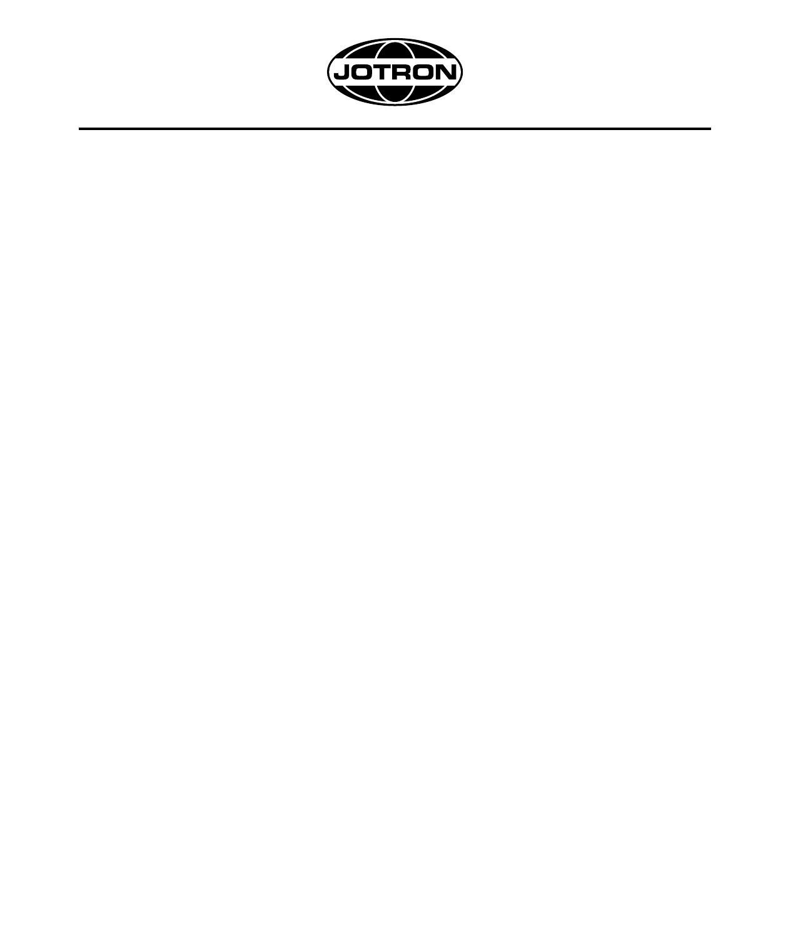![](_page_9_Picture_0.jpeg)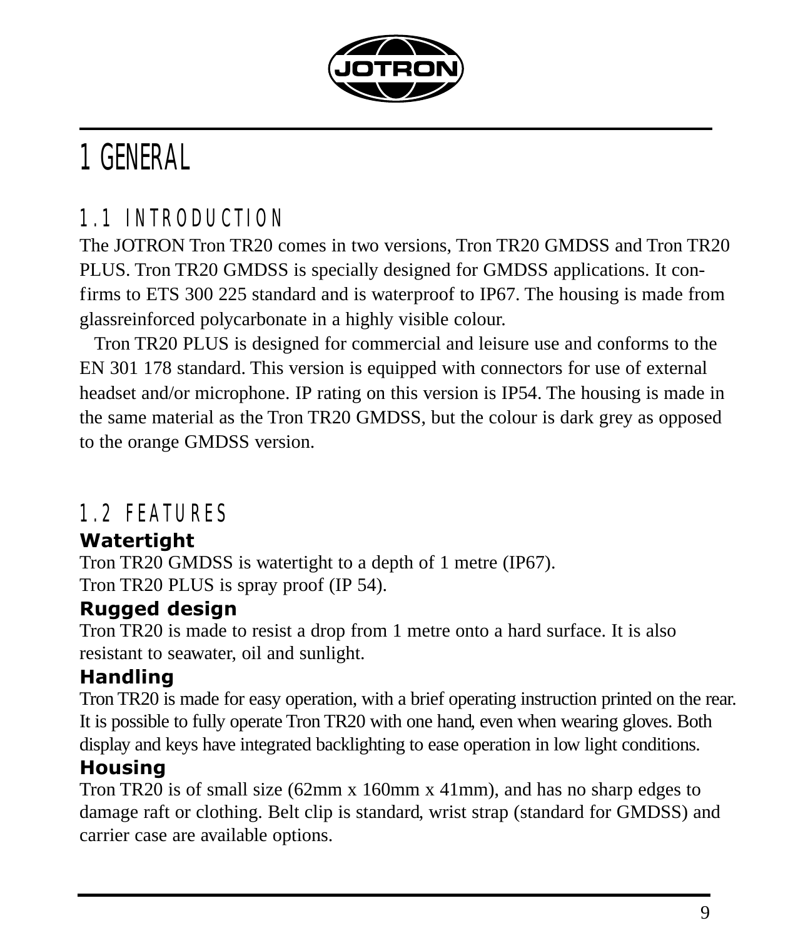![](_page_10_Picture_0.jpeg)

# 1 GENERAL

## 1.1 INTRODUCTION

The JOTRON Tron TR20 comes in two versions, Tron TR20 GMDSS and Tron TR20 PLUS. Tron TR20 GMDSS is specially designed for GMDSS applications. It confirms to ETS 300 225 standard and is waterproof to IP67. The housing is made from glassreinforced polycarbonate in a highly visible colour.

Tron TR20 PLUS is designed for commercial and leisure use and conforms to the EN 301 178 standard. This version is equipped with connectors for use of external headset and/or microphone. IP rating on this version is IP54. The housing is made in the same material as the Tron TR20 GMDSS, but the colour is dark grey as opposed to the orange GMDSS version.

### 1.2 FEATURES

### **Watertight**

Tron TR20 GMDSS is watertight to a depth of 1 metre (IP67). Tron TR20 PLUS is spray proof (IP 54).

### **Rugged design**

Tron TR20 is made to resist a drop from 1 metre onto a hard surface. It is also resistant to seawater, oil and sunlight.

### **Handling**

Tron TR20 is made for easy operation, with a brief operating instruction printed on the rear. It is possible to fully operate Tron TR20 with one hand, even when wearing gloves. Both display and keys have integrated backlighting to ease operation in low light conditions.

### **Housing**

Tron TR20 is of small size (62mm x 160mm x 41mm), and has no sharp edges to damage raft or clothing. Belt clip is standard, wrist strap (standard for GMDSS) and carrier case are available options.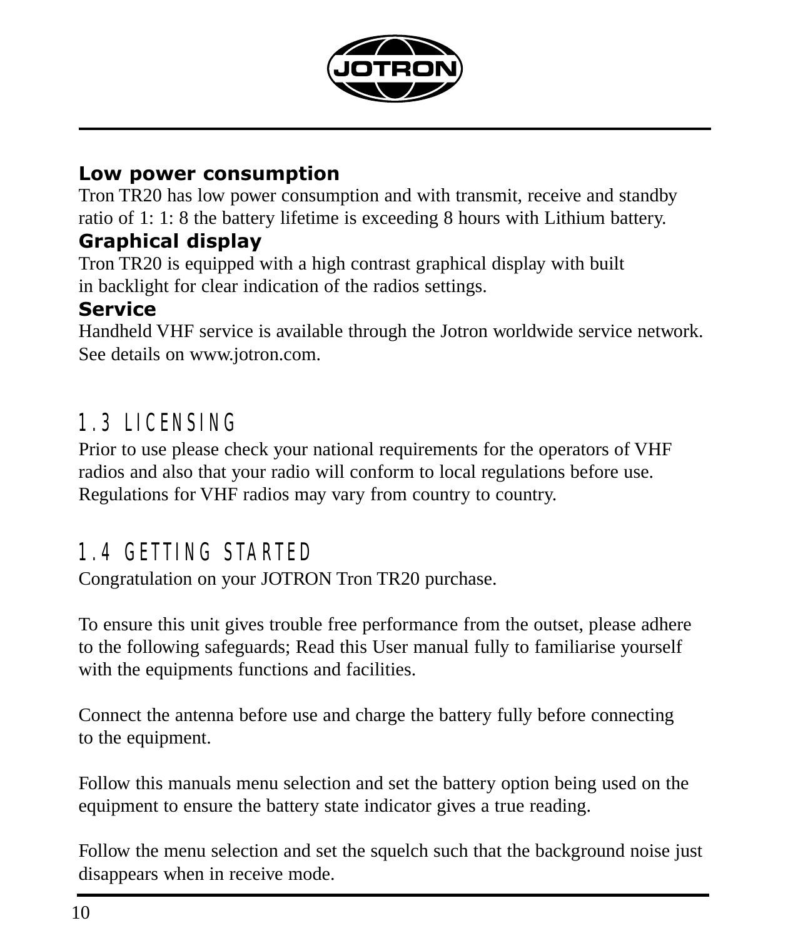![](_page_11_Picture_0.jpeg)

### **Low power consumption**

Tron TR20 has low power consumption and with transmit, receive and standby ratio of 1: 1: 8 the battery lifetime is exceeding 8 hours with Lithium battery.

### **Graphical display**

Tron TR20 is equipped with a high contrast graphical display with built in backlight for clear indication of the radios settings.

### **Service**

Handheld VHF service is available through the Jotron worldwide service network. See details on www.jotron.com.

### 1.3 LICENSING

Prior to use please check your national requirements for the operators of VHF radios and also that your radio will conform to local regulations before use. Regulations for VHF radios may vary from country to country.

### 1.4 GETTING STARTED

Congratulation on your JOTRON Tron TR20 purchase.

To ensure this unit gives trouble free performance from the outset, please adhere to the following safeguards; Read this User manual fully to familiarise yourself with the equipments functions and facilities.

Connect the antenna before use and charge the battery fully before connecting to the equipment.

Follow this manuals menu selection and set the battery option being used on the equipment to ensure the battery state indicator gives a true reading.

Follow the menu selection and set the squelch such that the background noise just disappears when in receive mode.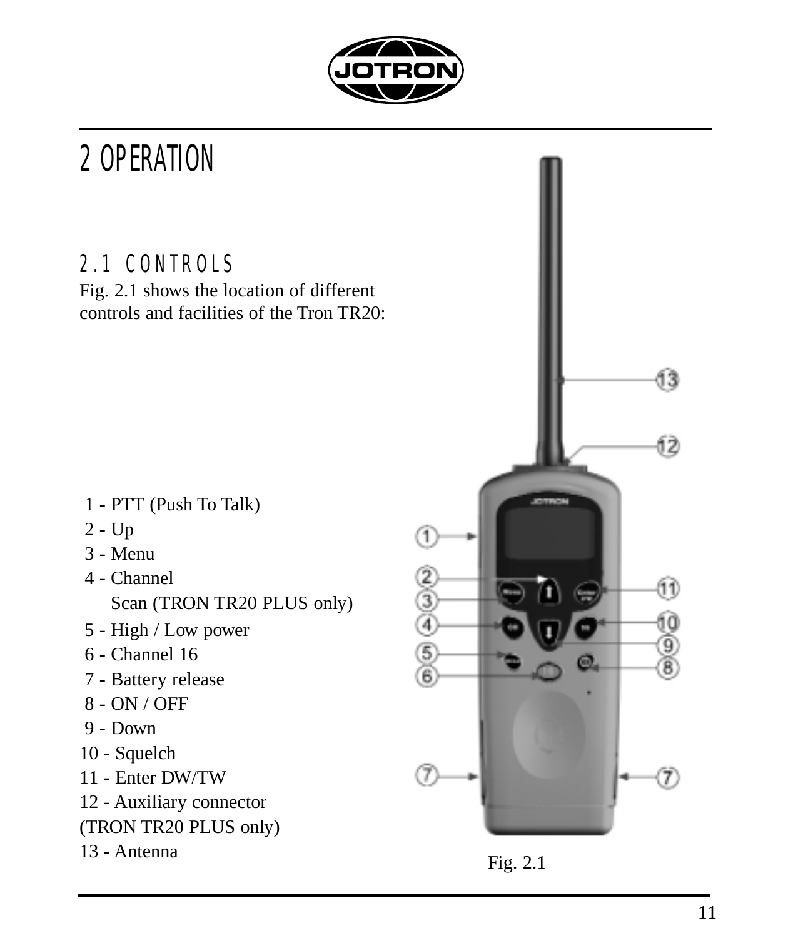![](_page_12_Picture_0.jpeg)

# 2 OPERATION

2.1 CONTROLS

Fig. 2.1 shows the location of different controls and facilities of the Tron TR20:

- 1 PTT (Push To Talk)
- 2 Up
- 3 Menu
- 4 Channel Scan (TRON TR20 PLUS only)
- 5 High / Low power
- 6 Channel 16
- 7 Battery release
- 8 ON / OFF
- 9 Down
- 10 Squelch
- 11 Enter DW/TW
- 12 Auxiliary connector
- (TRON TR20 PLUS only)
- 13 Antenna Fig. 2.1

![](_page_12_Picture_18.jpeg)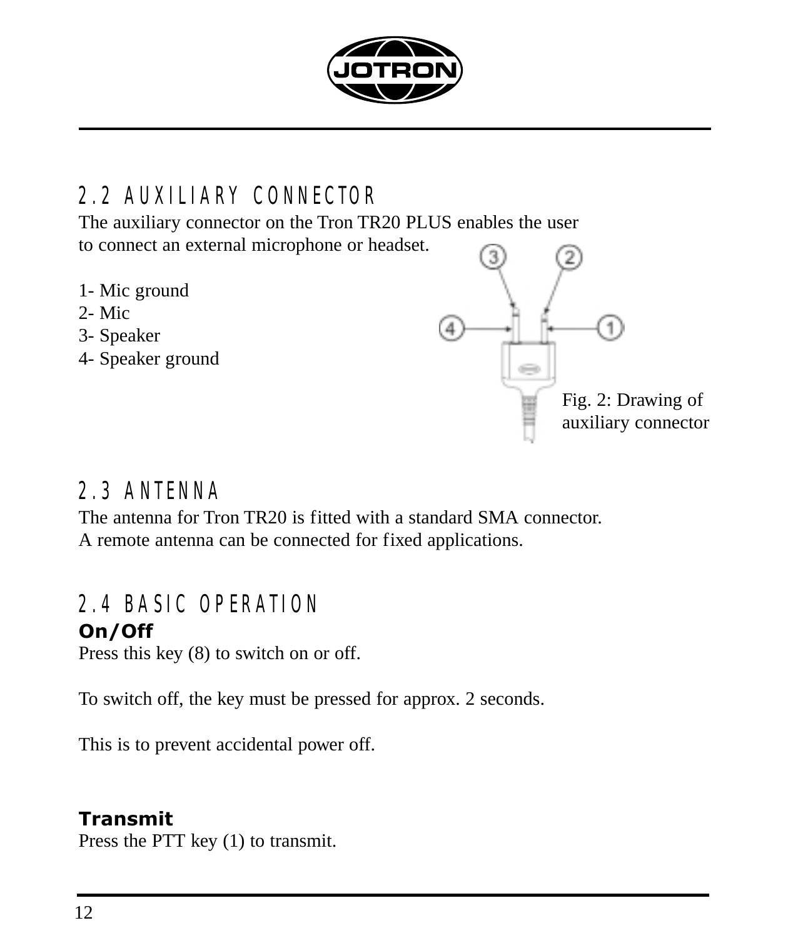![](_page_13_Picture_0.jpeg)

### 2.2 AUXILIARY CONNECTOR

The auxiliary connector on the Tron TR20 PLUS enables the user to connect an external microphone or headset.

- 1- Mic ground
- 2- Mic
- 3- Speaker
- 4- Speaker ground

![](_page_13_Figure_7.jpeg)

### Fig. 2: Drawing of auxiliary connector

### 2.3 ANTENNA

The antenna for Tron TR20 is fitted with a standard SMA connector. A remote antenna can be connected for fixed applications.

### 2.4 BASIC OPERATION **On/Off**

Press this key (8) to switch on or off.

To switch off, the key must be pressed for approx. 2 seconds.

This is to prevent accidental power off.

### **Transmit**

Press the PTT key (1) to transmit.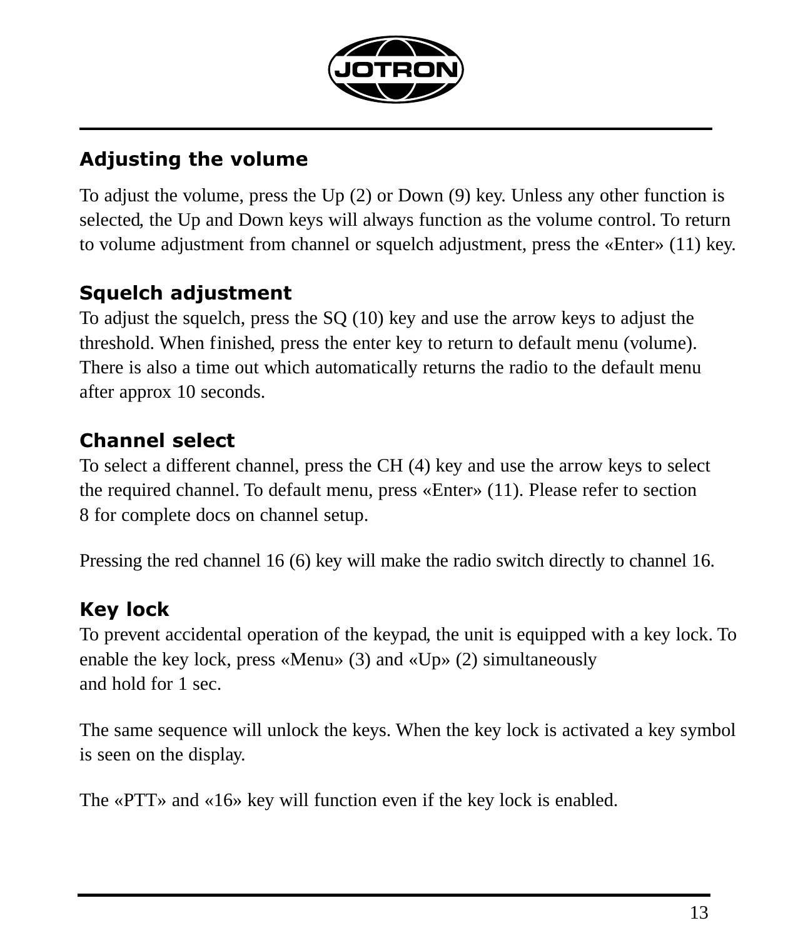![](_page_14_Picture_0.jpeg)

### **Adjusting the volume**

To adjust the volume, press the Up (2) or Down (9) key. Unless any other function is selected, the Up and Down keys will always function as the volume control. To return to volume adjustment from channel or squelch adjustment, press the «Enter» (11) key.

### **Squelch adjustment**

To adjust the squelch, press the SQ (10) key and use the arrow keys to adjust the threshold. When finished, press the enter key to return to default menu (volume). There is also a time out which automatically returns the radio to the default menu after approx 10 seconds.

### **Channel select**

To select a different channel, press the CH (4) key and use the arrow keys to select the required channel. To default menu, press «Enter» (11). Please refer to section 8 for complete docs on channel setup.

Pressing the red channel 16 (6) key will make the radio switch directly to channel 16.

### **Key lock**

To prevent accidental operation of the keypad, the unit is equipped with a key lock. To enable the key lock, press «Menu» (3) and «Up» (2) simultaneously and hold for 1 sec.

The same sequence will unlock the keys. When the key lock is activated a key symbol is seen on the display.

The «PTT» and «16» key will function even if the key lock is enabled.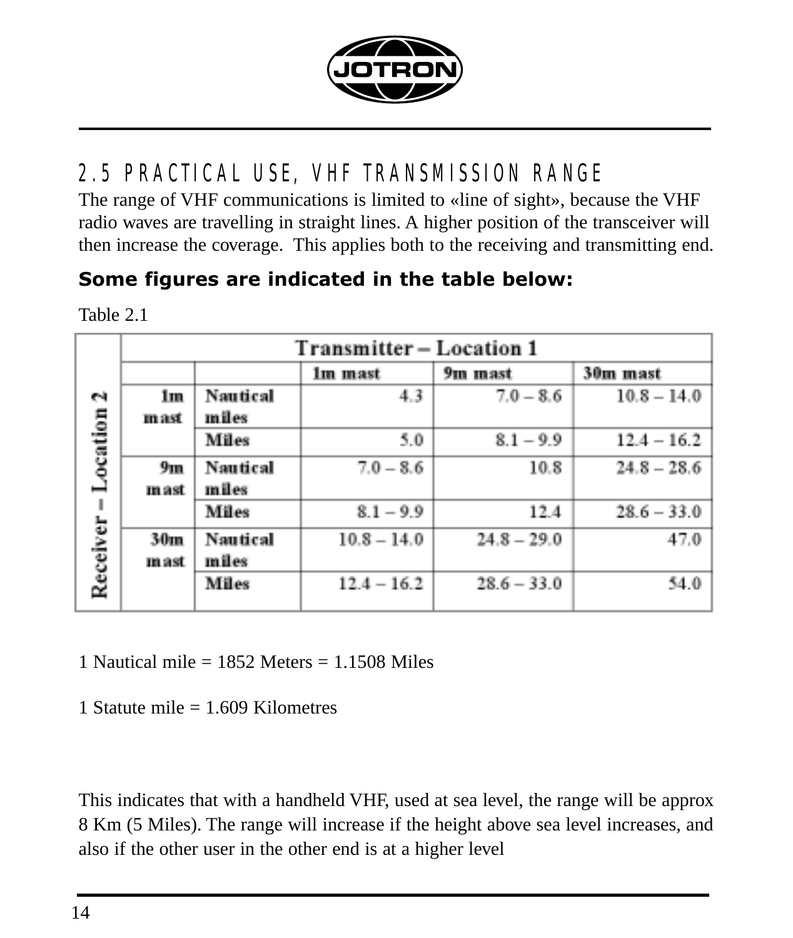![](_page_15_Picture_0.jpeg)

## 2.5 PRACTICAL USE, VHF TRANSMISSION RANGE

The range of VHF communications is limited to «line of sight», because the VHF radio waves are travelling in straight lines. A higher position of the transceiver will then increase the coverage. This applies both to the receiving and transmitting end.

### **Some figures are indicated in the table below:**

|          | Transmitter – Location 1 |              |               |               |               |
|----------|--------------------------|--------------|---------------|---------------|---------------|
|          |                          |              | 1m mast       | 9m mast       | 30m mast      |
| N        | 1m                       | Nautical     | 4.3           | $7.0 - 8.6$   | $10.8 - 14.0$ |
|          | mast                     | miles        |               |               |               |
| ocation  |                          | <b>Miles</b> | 5.0           | $8.1 - 9.9$   | $12.4 - 16.2$ |
|          | 9m                       | Nautical     | $7.0 - 8.6$   | 10.8          | $24.8 - 28.6$ |
|          | m ast                    | miles        |               |               |               |
|          |                          | <b>Miles</b> | $8.1 - 9.9$   | 12.4          | $28.6 - 33.0$ |
|          | 30m                      | Nautical     | $10.8 - 14.0$ | $24.8 - 29.0$ | 47.0          |
|          | m ast                    | miles        |               |               |               |
| Receiver |                          | Miles        | $12.4 - 16.2$ | $28.6 - 33.0$ | 54.0          |

Table 2.1

1 Nautical mile  $= 1852$  Meters  $= 1.1508$  Miles

1 Statute mile  $= 1.609$  Kilometres

This indicates that with a handheld VHF, used at sea level, the range will be approx 8 Km (5 Miles). The range will increase if the height above sea level increases, and also if the other user in the other end is at a higher level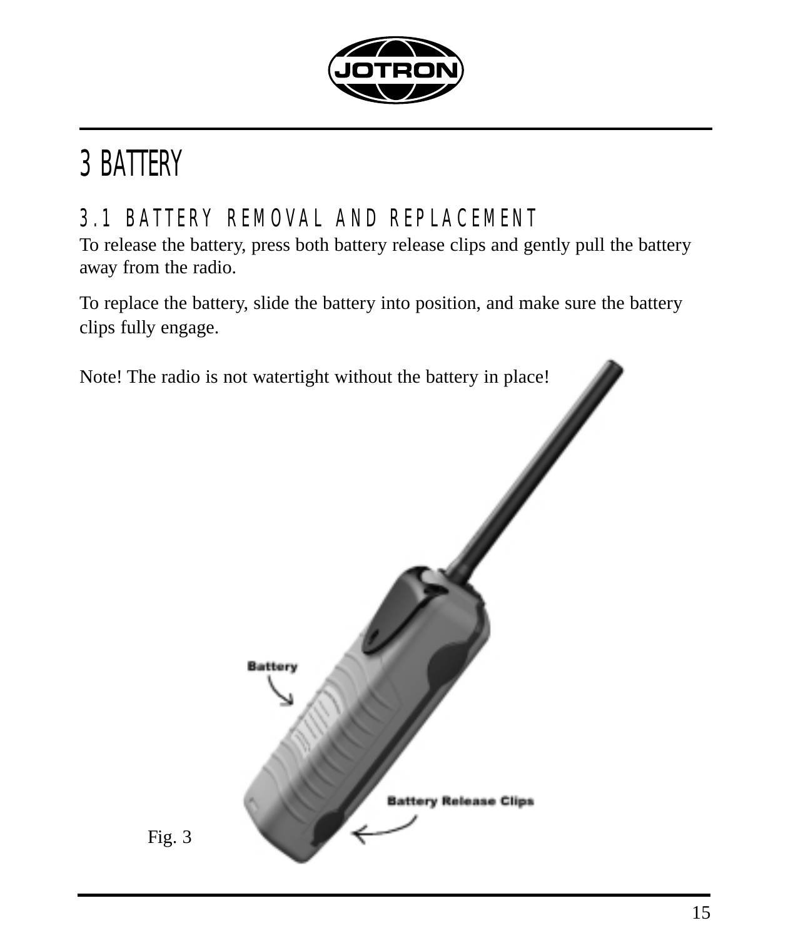![](_page_16_Picture_0.jpeg)

# 3 BATTERY

### 3.1 BATTERY REMOVAL AND REPLACEMENT

To release the battery, press both battery release clips and gently pull the battery away from the radio.

To replace the battery, slide the battery into position, and make sure the battery clips fully engage.

Note! The radio is not watertight without the battery in place! **Battery Battery Release Clips** Fig. 3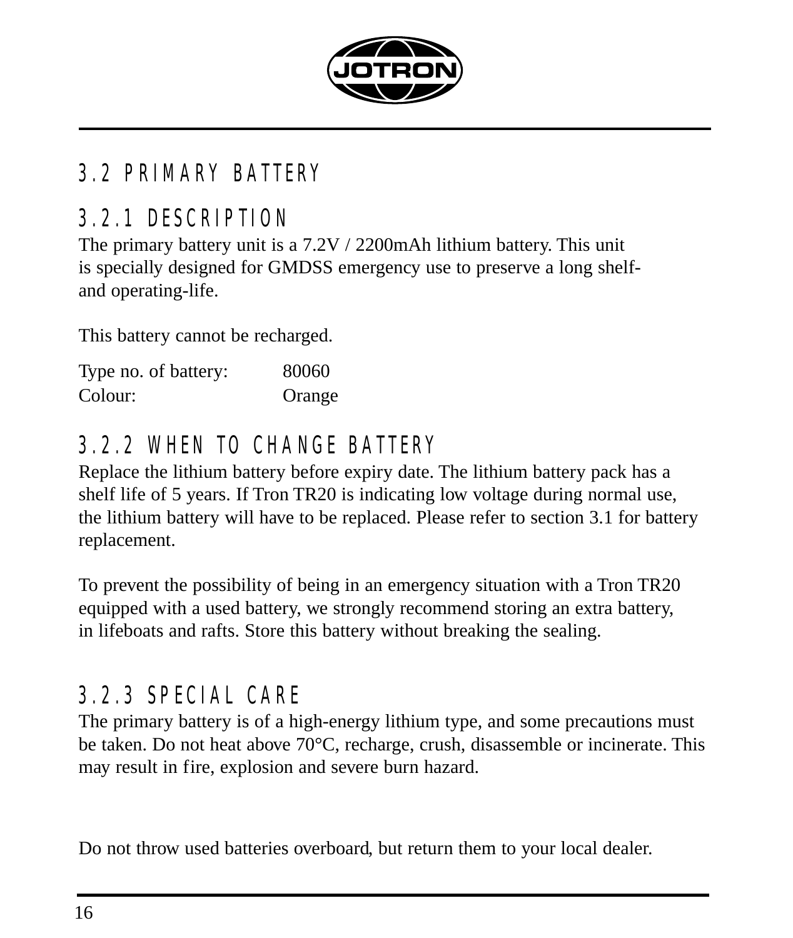![](_page_17_Picture_0.jpeg)

### 3.2 PRIMARY BATTERY

## 3.2.1 DESCRIPTION

The primary battery unit is a 7.2V / 2200mAh lithium battery. This unit is specially designed for GMDSS emergency use to preserve a long shelfand operating-life.

This battery cannot be recharged.

| Type no. of battery: | 80060  |
|----------------------|--------|
| Colour:              | Orange |

### 3.2.2 WHEN TO CHANGE BATTERY

Replace the lithium battery before expiry date. The lithium battery pack has a shelf life of 5 years. If Tron TR20 is indicating low voltage during normal use, the lithium battery will have to be replaced. Please refer to section 3.1 for battery replacement.

To prevent the possibility of being in an emergency situation with a Tron TR20 equipped with a used battery, we strongly recommend storing an extra battery, in lifeboats and rafts. Store this battery without breaking the sealing.

### 3.2.3 SPECIAL CARE

The primary battery is of a high-energy lithium type, and some precautions must be taken. Do not heat above 70°C, recharge, crush, disassemble or incinerate. This may result in fire, explosion and severe burn hazard.

Do not throw used batteries overboard, but return them to your local dealer.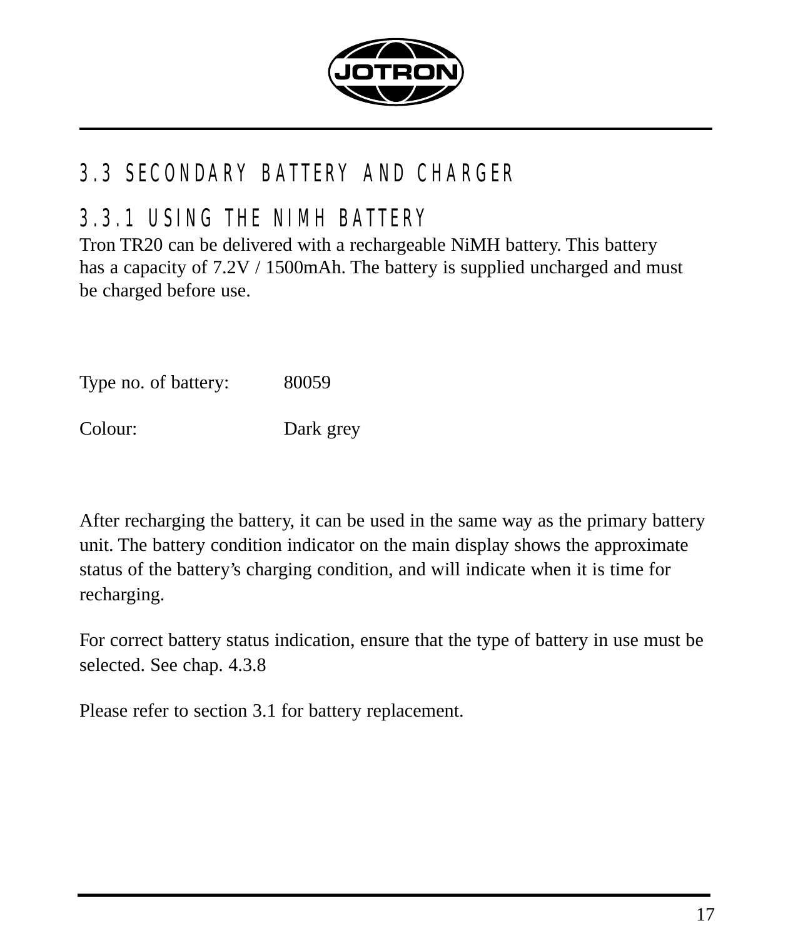![](_page_18_Picture_0.jpeg)

### 3.3 SECONDARY BATTERY AND CHARGER

### 3.3.1 USING THE NIMH BATTERY

Tron TR20 can be delivered with a rechargeable NiMH battery. This battery has a capacity of  $7.2V / 1500$ mAh. The battery is supplied uncharged and must be charged before use.

Type no. of battery: 80059 Colour: Dark grey

After recharging the battery, it can be used in the same way as the primary battery unit. The battery condition indicator on the main display shows the approximate status of the battery's charging condition, and will indicate when it is time for recharging.

For correct battery status indication, ensure that the type of battery in use must be selected. See chap. 4.3.8

Please refer to section 3.1 for battery replacement.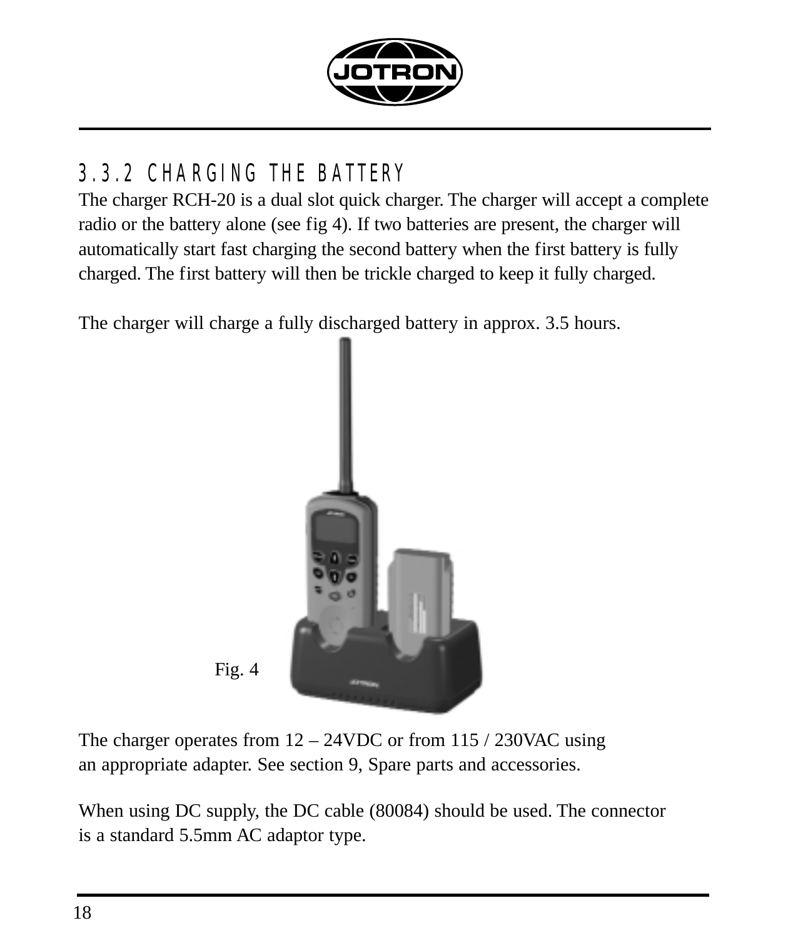![](_page_19_Picture_0.jpeg)

### 3.3.2 CHARGING THE BATTERY

The charger RCH-20 is a dual slot quick charger. The charger will accept a complete radio or the battery alone (see fig 4). If two batteries are present, the charger will automatically start fast charging the second battery when the first battery is fully charged. The first battery will then be trickle charged to keep it fully charged.

The charger will charge a fully discharged battery in approx. 3.5 hours.

![](_page_19_Picture_4.jpeg)

The charger operates from 12 – 24VDC or from 115 / 230VAC using an appropriate adapter. See section 9, Spare parts and accessories.

When using DC supply, the DC cable (80084) should be used. The connector is a standard 5.5mm AC adaptor type.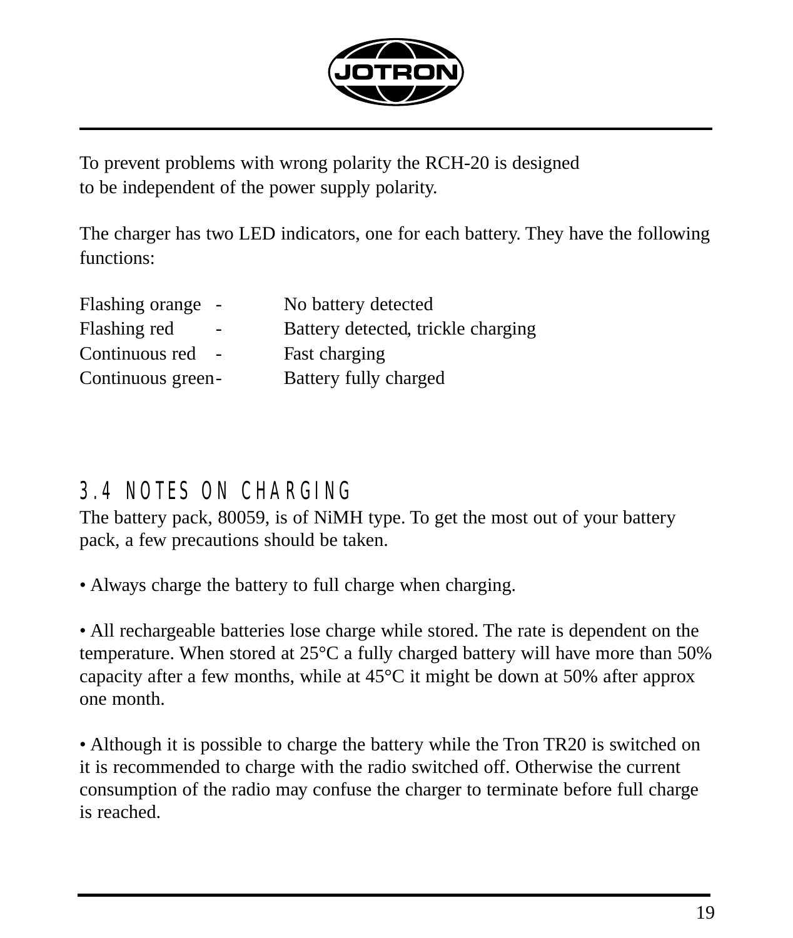![](_page_20_Picture_0.jpeg)

To prevent problems with wrong polarity the RCH-20 is designed to be independent of the power supply polarity.

The charger has two LED indicators, one for each battery. They have the following functions:

| Flashing orange -            | No battery detected                |
|------------------------------|------------------------------------|
| Flashing red<br>$\sim$       | Battery detected, trickle charging |
| Continuous red<br>$\sim$ $-$ | Fast charging                      |
| Continuous green-            | Battery fully charged              |

### 3.4 NOTES ON CHARGING

The battery pack, 80059, is of NiMH type. To get the most out of your battery pack, a few precautions should be taken.

• Always charge the battery to full charge when charging.

• All rechargeable batteries lose charge while stored. The rate is dependent on the temperature. When stored at 25°C a fully charged battery will have more than 50% capacity after a few months, while at  $45^{\circ}$ C it might be down at 50% after approx one month.

• Although it is possible to charge the battery while the Tron TR20 is switched on it is recommended to charge with the radio switched off. Otherwise the current consumption of the radio may confuse the charger to terminate before full charge is reached.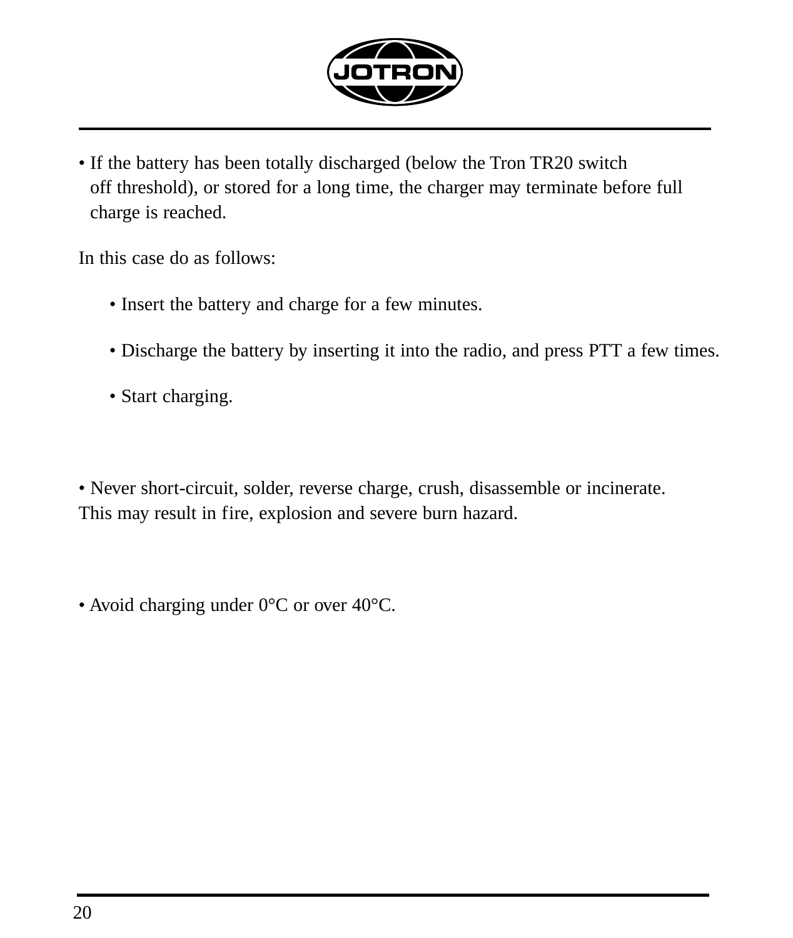![](_page_21_Picture_0.jpeg)

• If the battery has been totally discharged (below the Tron TR20 switch off threshold), or stored for a long time, the charger may terminate before full charge is reached.

In this case do as follows:

- Insert the battery and charge for a few minutes.
- Discharge the battery by inserting it into the radio, and press PTT a few times.
- Start charging.

• Never short-circuit, solder, reverse charge, crush, disassemble or incinerate. This may result in fire, explosion and severe burn hazard.

• Avoid charging under 0°C or over 40°C.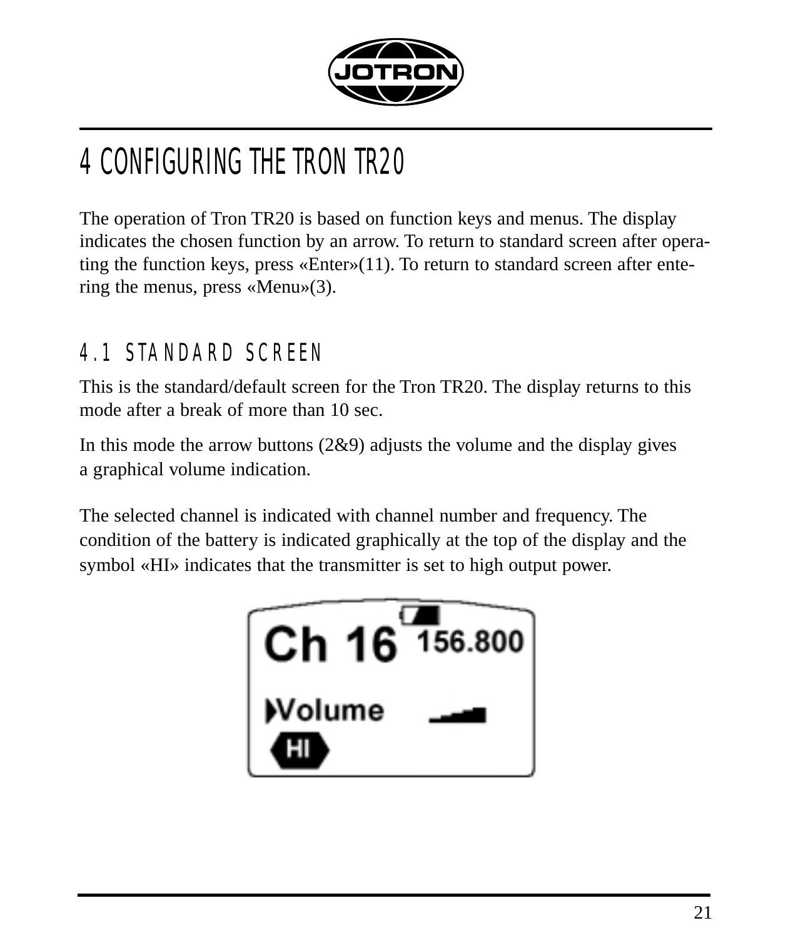![](_page_22_Picture_0.jpeg)

# 4 CONFIGURING THE TRON TR20

The operation of Tron TR20 is based on function keys and menus. The display indicates the chosen function by an arrow. To return to standard screen after operating the function keys, press «Enter»(11). To return to standard screen after entering the menus, press «Menu»(3).

### 4.1 STANDARD SCREEN

This is the standard/default screen for the Tron TR20. The display returns to this mode after a break of more than 10 sec.

In this mode the arrow buttons  $(2\&9)$  adjusts the volume and the display gives a graphical volume indication.

The selected channel is indicated with channel number and frequency. The condition of the battery is indicated graphically at the top of the display and the symbol «HI» indicates that the transmitter is set to high output power.

![](_page_22_Picture_7.jpeg)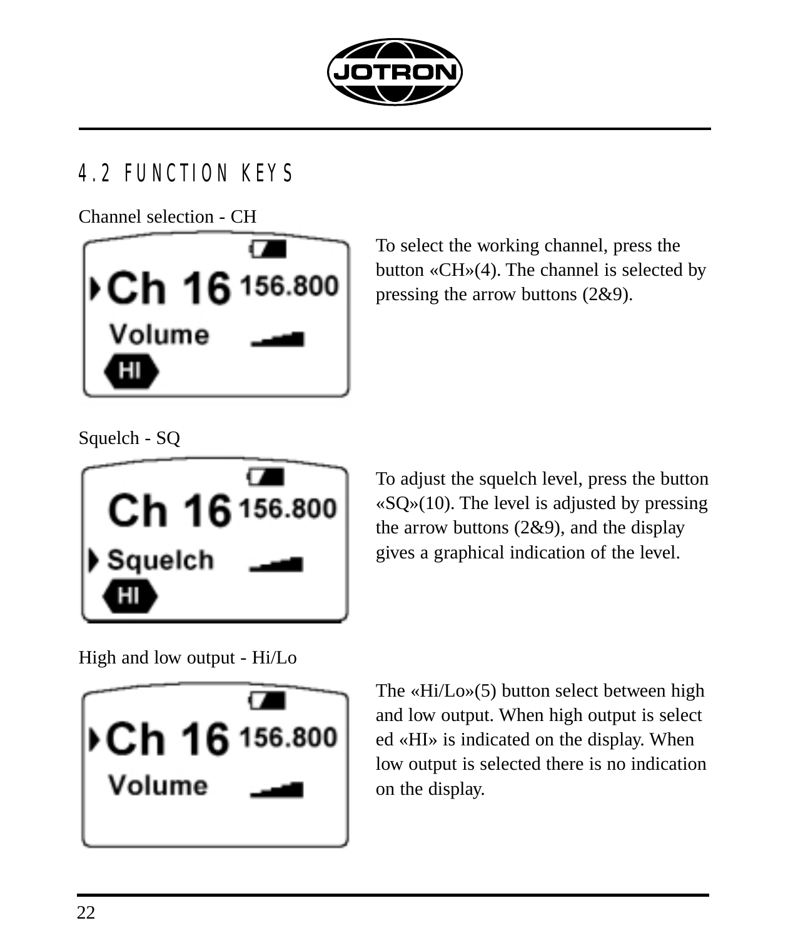![](_page_23_Picture_0.jpeg)

## 4.2 FUNCTION KEYS

Channel selection - CH

![](_page_23_Picture_3.jpeg)

To select the working channel, press the button «CH»(4). The channel is selected by

Squelch - SQ

![](_page_23_Picture_6.jpeg)

To adjust the squelch level, press the button  $\langle SQ\$ (10). The level is adjusted by pressing the arrow buttons (2&9), and the display gives a graphical indication of the level.

High and low output - Hi/Lo

![](_page_23_Picture_9.jpeg)

The «Hi/Lo»(5) button select between high and low output. When high output is select ed «HI» is indicated on the display. When low output is selected there is no indication on the display.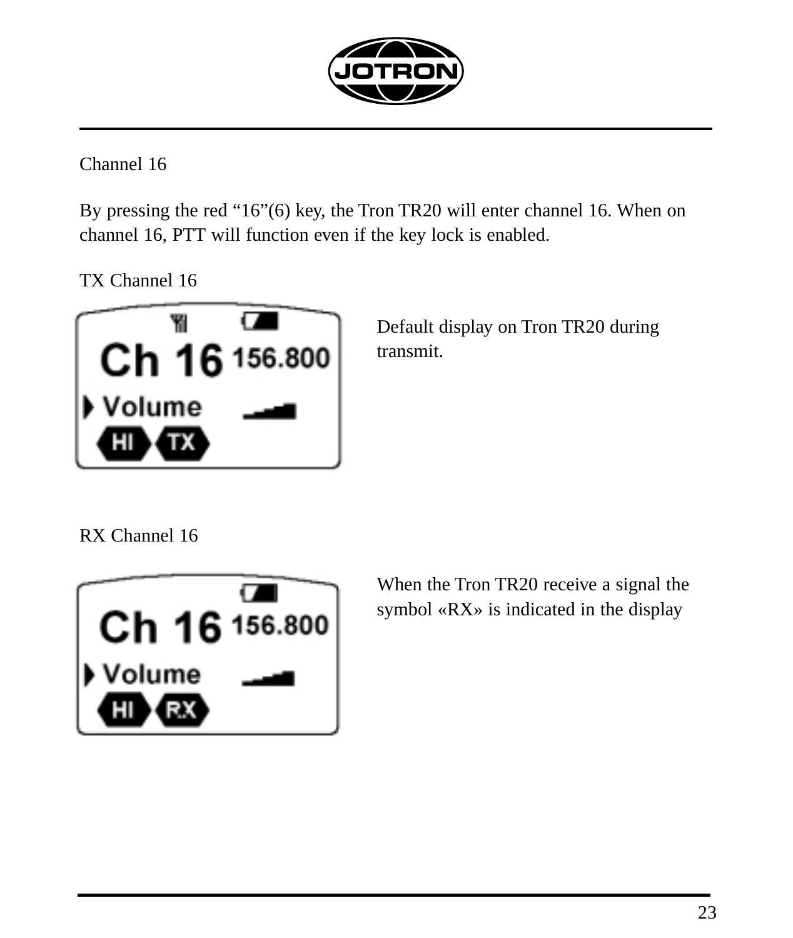![](_page_24_Picture_0.jpeg)

Channel 16

By pressing the red "16"(6) key, the Tron TR20 will enter channel 16. When on channel 16, PTT will function even if the key lock is enabled.

### TX Channel 16

![](_page_24_Picture_4.jpeg)

Default display on Tron TR20 during transmit.

### RX Channel 16

![](_page_24_Picture_7.jpeg)

When the Tron TR20 receive a signal the symbol «RX» is indicated in the display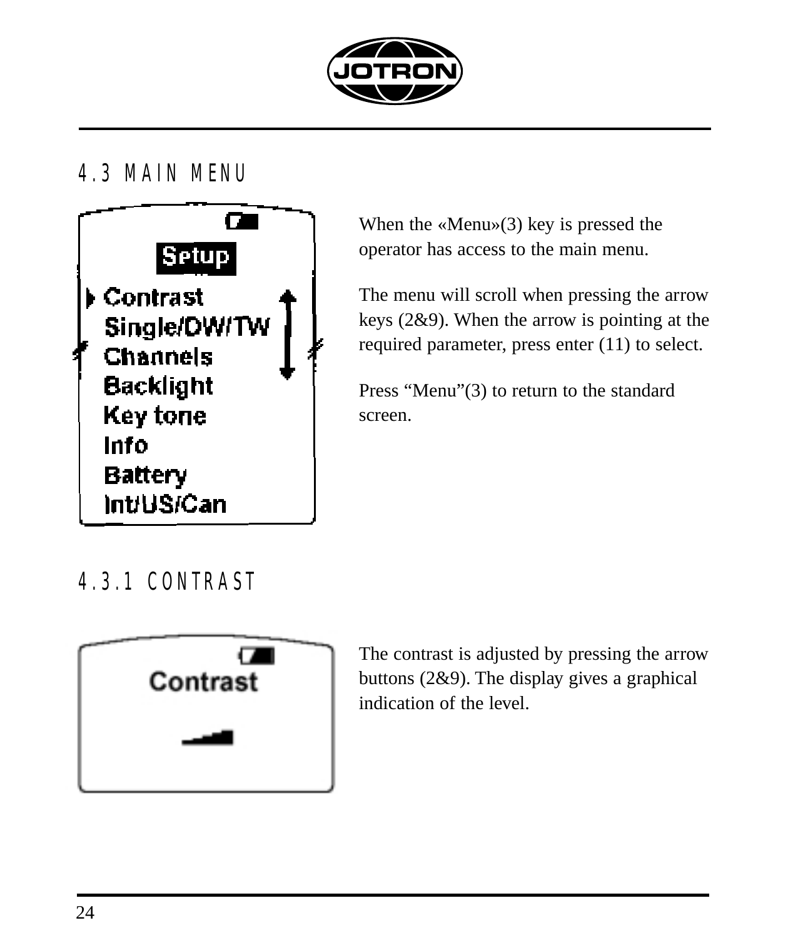![](_page_25_Picture_0.jpeg)

### 4.3 MAIN MENU

![](_page_25_Picture_2.jpeg)

When the «Menu»(3) key is pressed the operator has access to the main menu.

The menu will scroll when pressing the arrow keys (2&9). When the arrow is pointing at the required parameter, press enter (11) to select.

Press "Menu"(3) to return to the standard screen.

### 4.3.1 CONTRAST

![](_page_25_Picture_7.jpeg)

The contrast is adjusted by pressing the arrow buttons (2&9). The display gives a graphical indication of the level.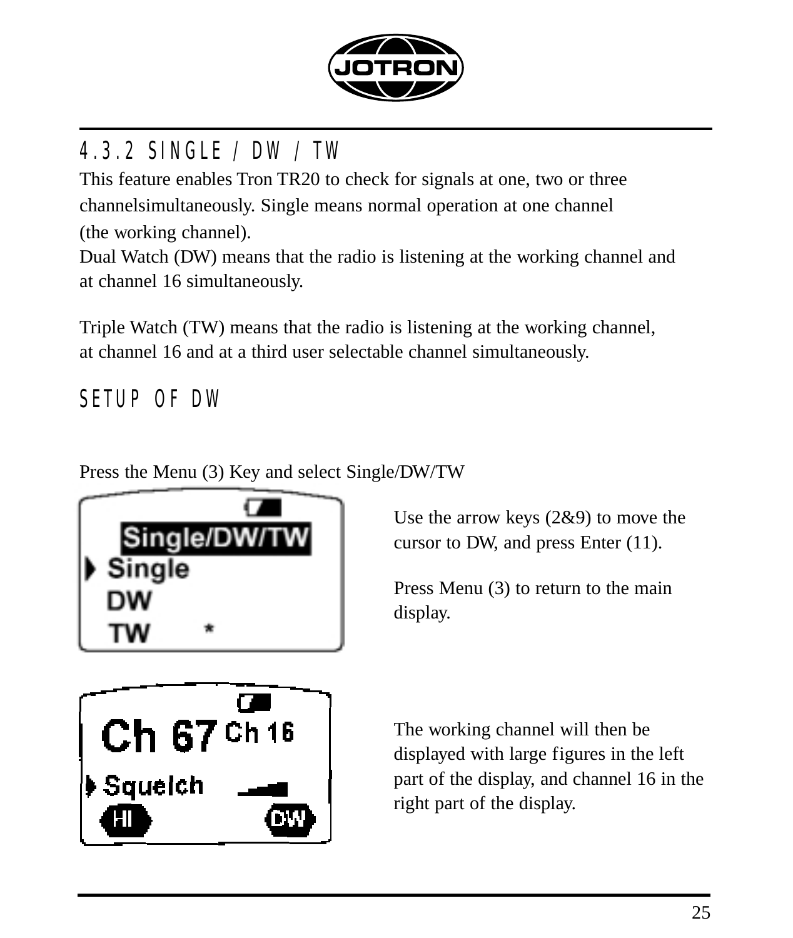![](_page_26_Picture_0.jpeg)

## 4.3.2 SINGLE / DW / TW

This feature enables Tron TR20 to check for signals at one, two or three channelsimultaneously. Single means normal operation at one channel (the working channel).

Dual Watch (DW) means that the radio is listening at the working channel and at channel 16 simultaneously.

Triple Watch (TW) means that the radio is listening at the working channel, at channel 16 and at a third user selectable channel simultaneously.

## SETUP OF DW

Press the Menu (3) Key and select Single/DW/TW

![](_page_26_Picture_7.jpeg)

Use the arrow keys (2&9) to move the cursor to DW, and press Enter (11).

Press Menu (3) to return to the main display.

![](_page_26_Picture_10.jpeg)

The working channel will then be displayed with large figures in the left part of the display, and channel 16 in the right part of the display.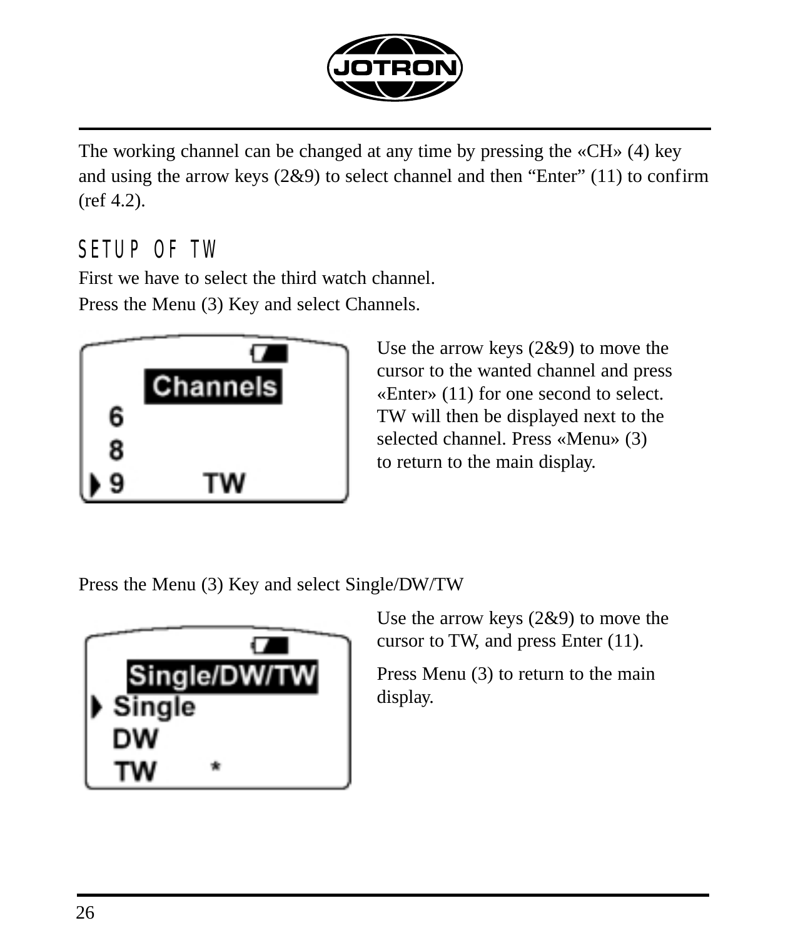![](_page_27_Picture_0.jpeg)

The working channel can be changed at any time by pressing the «CH» (4) key and using the arrow keys  $(2\&9)$  to select channel and then "Enter" (11) to confirm (ref 4.2).

### SETUP OF TW

First we have to select the third watch channel. Press the Menu (3) Key and select Channels.

![](_page_27_Picture_4.jpeg)

Use the arrow keys (2&9) to move the cursor to the wanted channel and press «Enter» (11) for one second to select. TW will then be displayed next to the selected channel. Press «Menu» (3) to return to the main display.

Press the Menu (3) Key and select Single/DW/TW

![](_page_27_Picture_7.jpeg)

Use the arrow keys (2&9) to move the cursor to TW, and press Enter (11).

Press Menu (3) to return to the main display.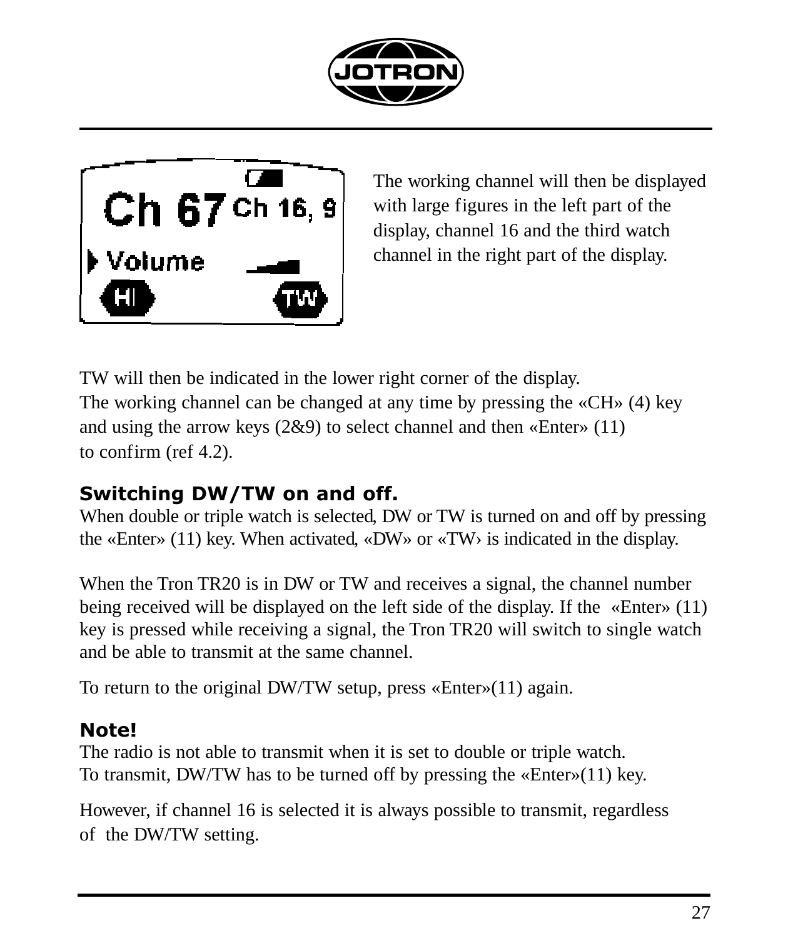![](_page_28_Picture_0.jpeg)

![](_page_28_Picture_1.jpeg)

The working channel will then be displayed with large figures in the left part of the display, channel 16 and the third watch channel in the right part of the display.

TW will then be indicated in the lower right corner of the display. The working channel can be changed at any time by pressing the «CH» (4) key and using the arrow keys  $(2\&9)$  to select channel and then «Enter»  $(11)$ to confirm (ref 4.2).

### **Switching DW/TW on and off.**

When double or triple watch is selected, DW or TW is turned on and off by pressing the «Enter» (11) key. When activated, «DW» or «TW› is indicated in the display.

When the Tron TR20 is in DW or TW and receives a signal, the channel number being received will be displayed on the left side of the display. If the «Enter» (11) key is pressed while receiving a signal, the Tron TR20 will switch to single watch and be able to transmit at the same channel.

To return to the original DW/TW setup, press «Enter»(11) again.

### **Note!**

The radio is not able to transmit when it is set to double or triple watch. To transmit, DW/TW has to be turned off by pressing the «Enter»(11) key.

However, if channel 16 is selected it is always possible to transmit, regardless of the DW/TW setting.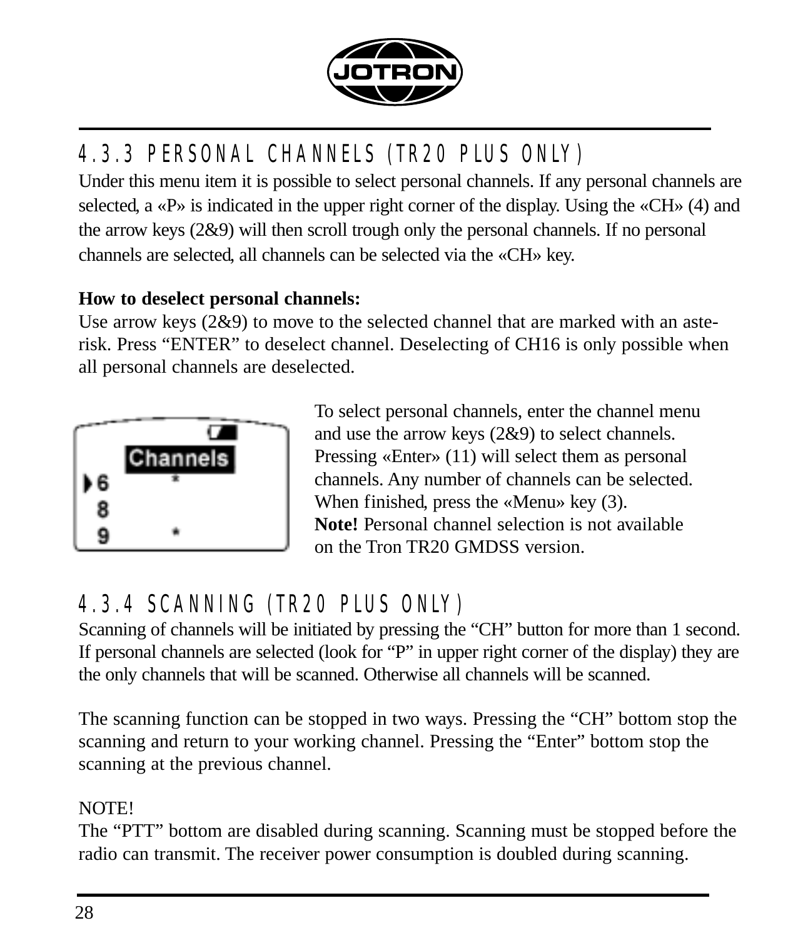![](_page_29_Picture_0.jpeg)

## 4.3.3 PERSONAL CHANNELS (TR20 PLUS ONLY)

Under this menu item it is possible to select personal channels. If any personal channels are selected,  $a \ll P$ » is indicated in the upper right corner of the display. Using the  $\ll$ CH» (4) and the arrow keys (2&9) will then scroll trough only the personal channels. If no personal channels are selected, all channels can be selected via the «CH» key.

### **How to deselect personal channels:**

Use arrow keys  $(2\&9)$  to move to the selected channel that are marked with an asterisk. Press "ENTER" to deselect channel. Deselecting of CH16 is only possible when all personal channels are deselected.

![](_page_29_Picture_5.jpeg)

To select personal channels, enter the channel menu and use the arrow keys (2&9) to select channels. Pressing «Enter» (11) will select them as personal channels. Any number of channels can be selected. When finished, press the «Menu» key (3). **Note!** Personal channel selection is not available on the Tron TR20 GMDSS version.

### 4.3.4 SCANNING (TR20 PLUS ONLY)

Scanning of channels will be initiated by pressing the "CH" button for more than 1 second. If personal channels are selected (look for "P" in upper right corner of the display) they are the only channels that will be scanned. Otherwise all channels will be scanned.

The scanning function can be stopped in two ways. Pressing the "CH" bottom stop the scanning and return to your working channel. Pressing the "Enter" bottom stop the scanning at the previous channel.

### NOTE!

The "PTT" bottom are disabled during scanning. Scanning must be stopped before the radio can transmit. The receiver power consumption is doubled during scanning.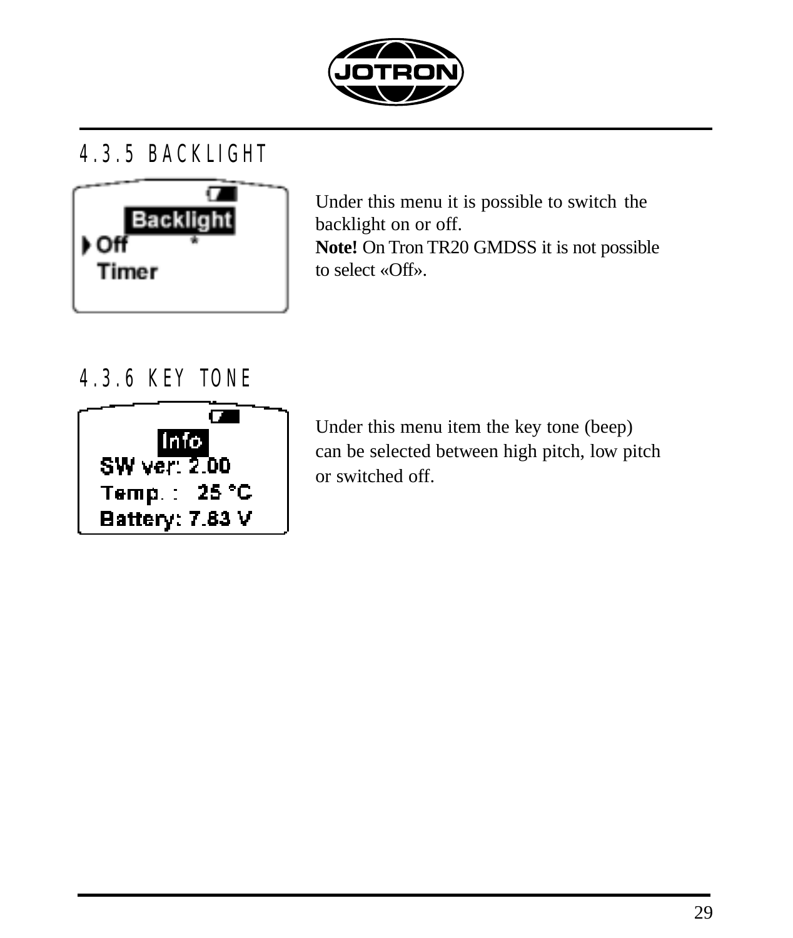![](_page_30_Picture_0.jpeg)

### 4.3.5 BACKLIGHT

![](_page_30_Picture_2.jpeg)

Under this menu it is possible to switch the backlight on or off. **Note!** On Tron TR20 GMDSS it is not possible to select «Off».

### 4.3.6 KEY TONE

![](_page_30_Picture_5.jpeg)

Under this menu item the key tone (beep) can be selected between high pitch, low pitch or switched off.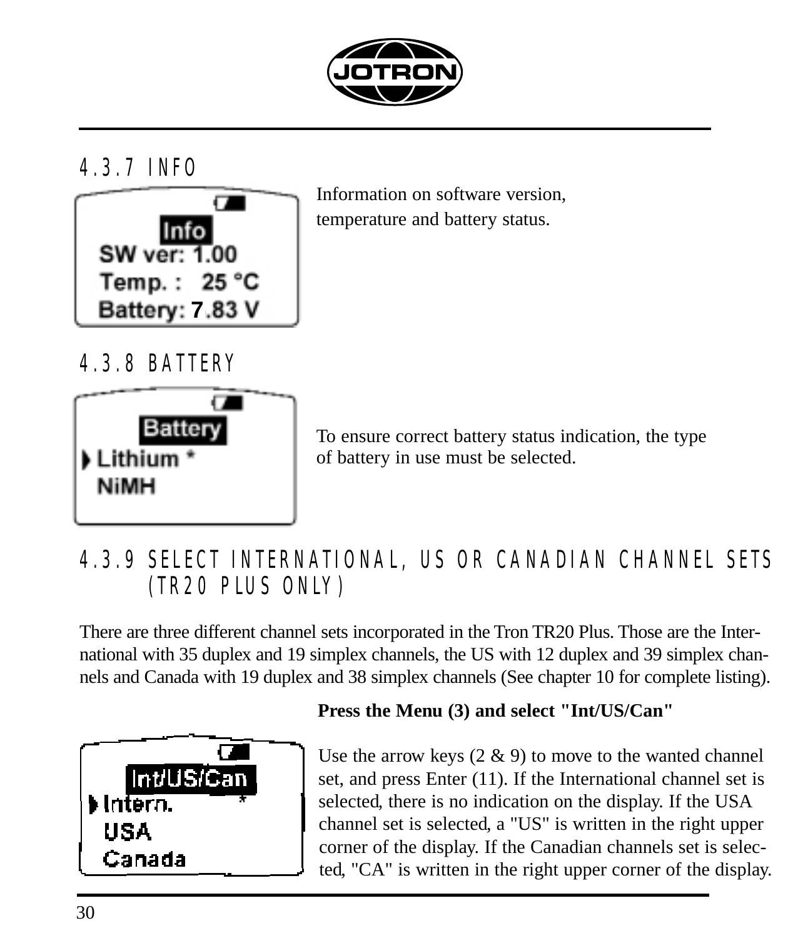![](_page_31_Picture_0.jpeg)

4.3.7 INFO

![](_page_31_Picture_2.jpeg)

Information on software version, temperature and battery status.

4.3.8 BATTERY

![](_page_31_Picture_5.jpeg)

To ensure correct battery status indication, the type of battery in use must be selected.

### 4.3.9 SELECT INTERNATIONAL, US OR CANADIAN CHANNEL SETS (TR20 PLUS ONLY)

There are three different channel sets incorporated in the Tron TR20 Plus. Those are the International with 35 duplex and 19 simplex channels, the US with 12 duplex and 39 simplex channels and Canada with 19 duplex and 38 simplex channels (See chapter 10 for complete listing).

![](_page_31_Picture_9.jpeg)

### **Press the Menu (3) and select "Int/US/Can"**

Use the arrow keys  $(2 \& 9)$  to move to the wanted channel set, and press Enter (11). If the International channel set is selected, there is no indication on the display. If the USA channel set is selected, a "US" is written in the right upper corner of the display. If the Canadian channels set is selected, "CA" is written in the right upper corner of the display.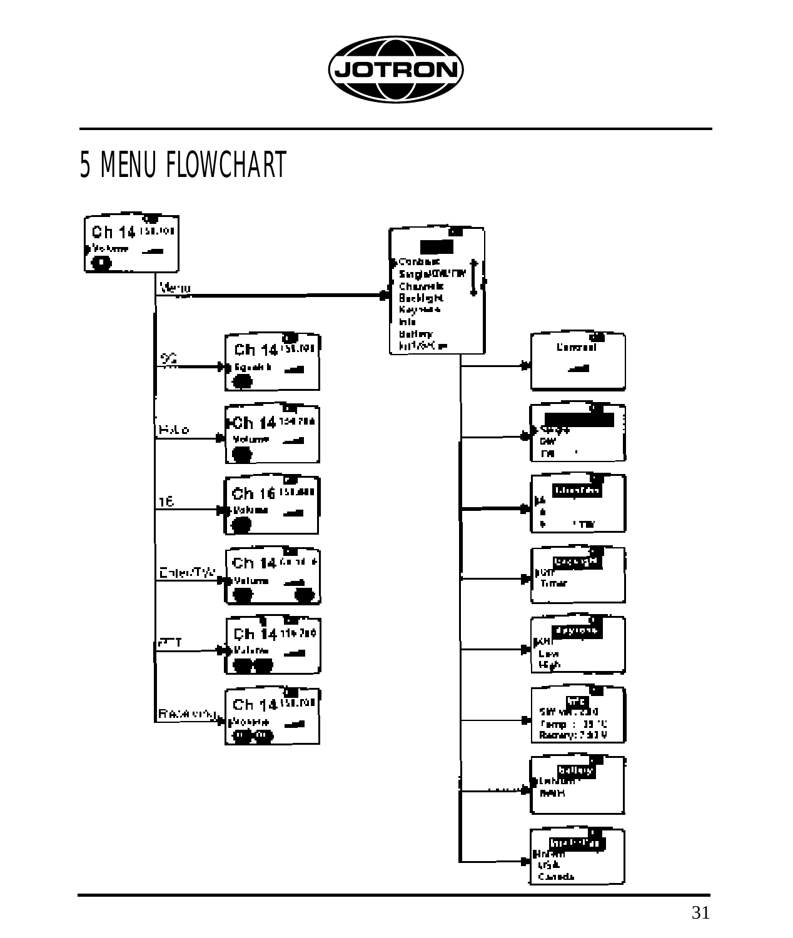![](_page_32_Picture_0.jpeg)

# 5 MENU FLOWCHART

![](_page_32_Figure_2.jpeg)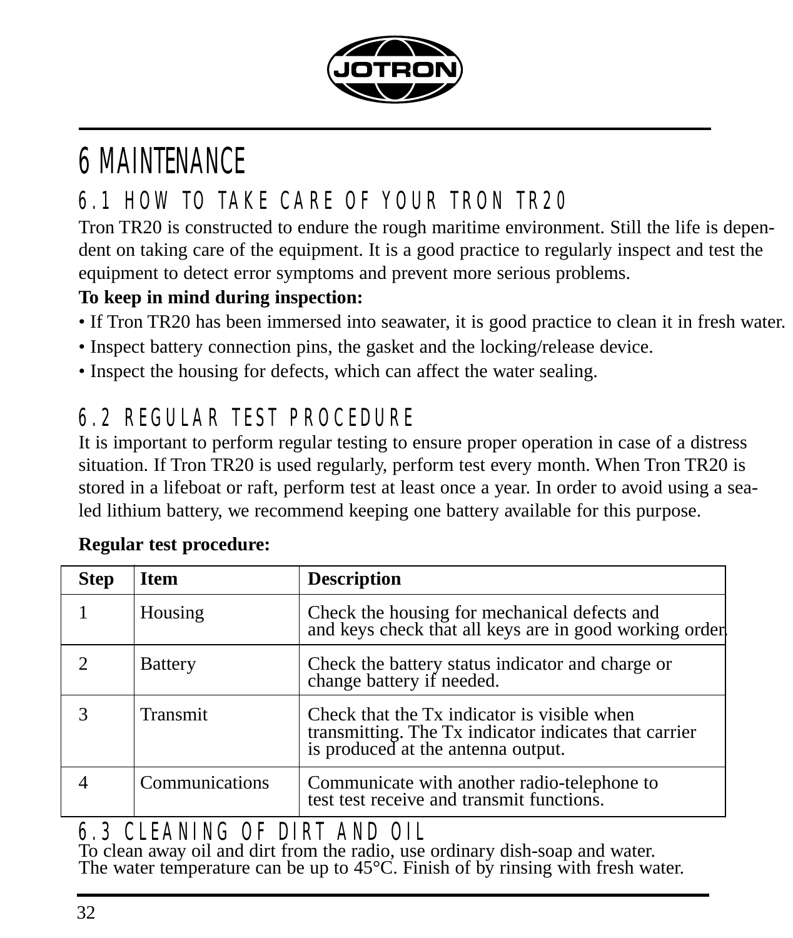![](_page_33_Picture_0.jpeg)

# 6 MAINTENANCE

## 6.1 HOW TO TAKE CARE OF YOUR TRON TR20

Tron TR20 is constructed to endure the rough maritime environment. Still the life is dependent on taking care of the equipment. It is a good practice to regularly inspect and test the equipment to detect error symptoms and prevent more serious problems.

### **To keep in mind during inspection:**

- If Tron TR20 has been immersed into seawater, it is good practice to clean it in fresh water.
- Inspect battery connection pins, the gasket and the locking/release device.
- Inspect the housing for defects, which can affect the water sealing.

## 6.2 REGULAR TEST PROCEDURE

It is important to perform regular testing to ensure proper operation in case of a distress situation. If Tron TR20 is used regularly, perform test every month. When Tron TR20 is stored in a lifeboat or raft, perform test at least once a year. In order to avoid using a sealed lithium battery, we recommend keeping one battery available for this purpose.

| <b>Step</b> | <b>Item</b>    | <b>Description</b>                                                                                                                         |
|-------------|----------------|--------------------------------------------------------------------------------------------------------------------------------------------|
|             | Housing        | Check the housing for mechanical defects and<br>and keys check that all keys are in good working order                                     |
|             | <b>Battery</b> | Check the battery status indicator and charge or change battery if needed.                                                                 |
|             | Transmit       | Check that the Tx indicator is visible when<br>transmitting. The Tx indicator indicates that carrier<br>is produced at the antenna output. |
|             | Communications | Communicate with another radio-telephone to<br>test test receive and transmit functions.                                                   |

### **Regular test procedure:**

### 6.3 CLEANING OF DIRT AND OIL

To clean away oil and dirt from the radio, use ordinary dish-soap and water. The water temperature can be up to  $45^{\circ}$ C. Finish of by rinsing with fresh water.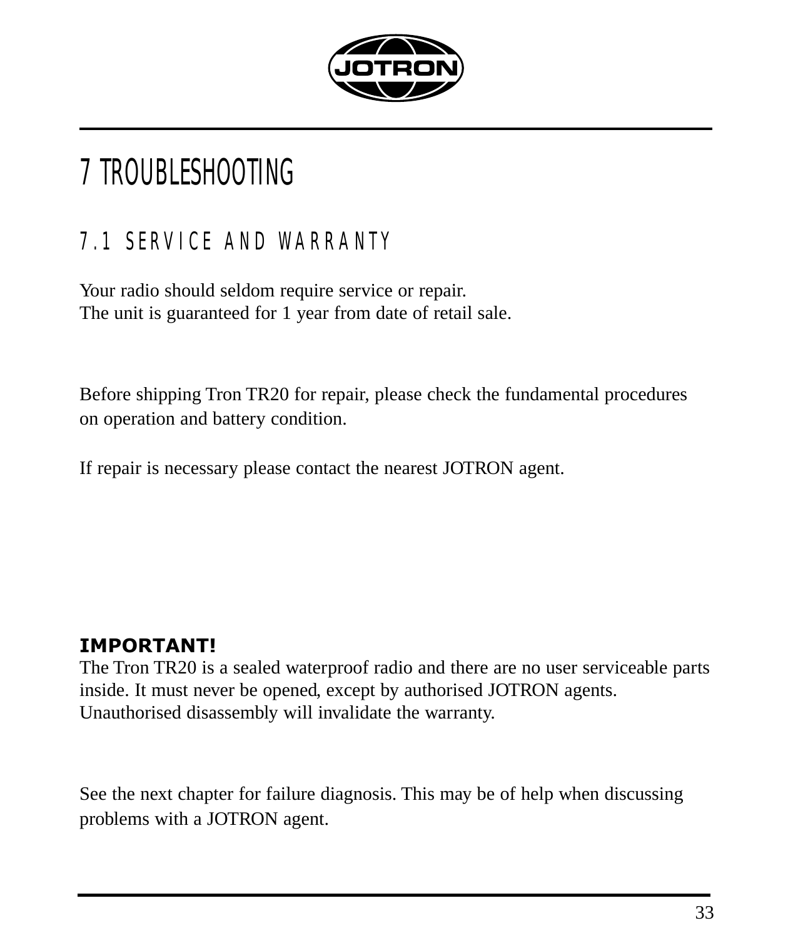![](_page_34_Picture_0.jpeg)

# 7 TROUBLESHOOTING

## 7.1 SERVICE AND WARRANTY

Your radio should seldom require service or repair. The unit is guaranteed for 1 year from date of retail sale.

Before shipping Tron TR20 for repair, please check the fundamental procedures on operation and battery condition.

If repair is necessary please contact the nearest JOTRON agent.

### **IMPORTANT!**

The Tron TR20 is a sealed waterproof radio and there are no user serviceable parts inside. It must never be opened, except by authorised JOTRON agents. Unauthorised disassembly will invalidate the warranty.

See the next chapter for failure diagnosis. This may be of help when discussing problems with a JOTRON agent.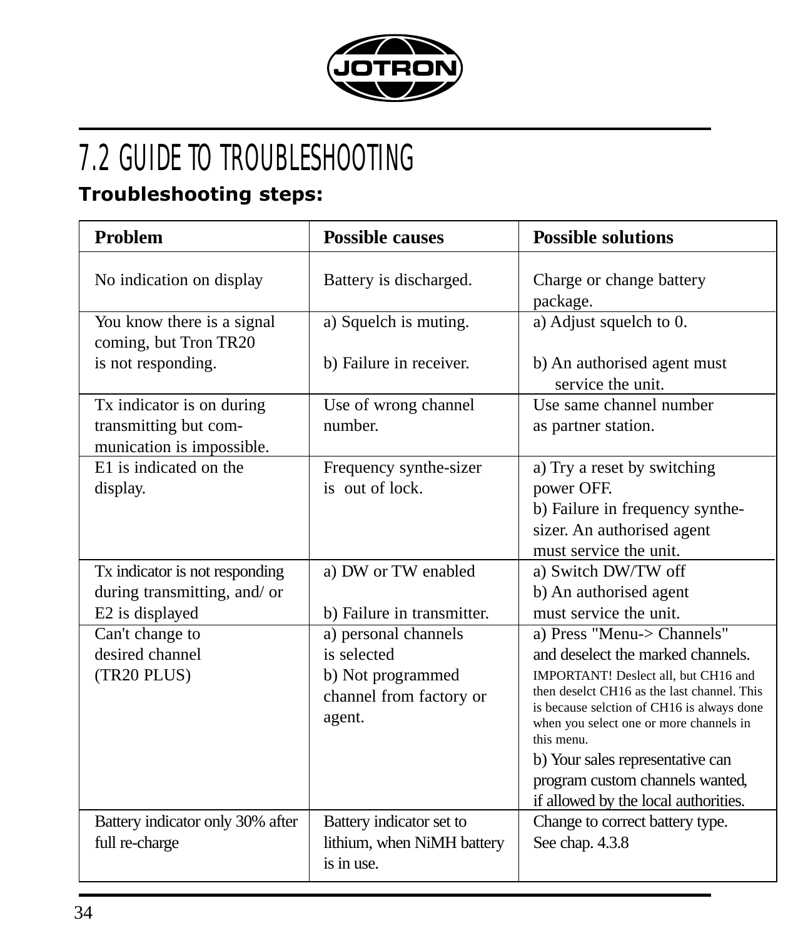![](_page_35_Picture_0.jpeg)

# 7.2 GUIDE TO TROUBLESHOOTING

### **Troubleshooting steps:**

| Problem                                             | <b>Possible causes</b>            | <b>Possible solutions</b>                                                                                                                          |
|-----------------------------------------------------|-----------------------------------|----------------------------------------------------------------------------------------------------------------------------------------------------|
| No indication on display                            | Battery is discharged.            | Charge or change battery<br>package.                                                                                                               |
| You know there is a signal<br>coming, but Tron TR20 | a) Squelch is muting.             | a) Adjust squelch to 0.                                                                                                                            |
| is not responding.                                  | b) Failure in receiver.           | b) An authorised agent must<br>service the unit.                                                                                                   |
| Tx indicator is on during                           | Use of wrong channel              | Use same channel number                                                                                                                            |
| transmitting but com-<br>munication is impossible.  | number.                           | as partner station.                                                                                                                                |
| E1 is indicated on the                              | Frequency synthe-sizer            | a) Try a reset by switching                                                                                                                        |
| display.                                            | is out of lock.                   | power OFF.                                                                                                                                         |
|                                                     |                                   | b) Failure in frequency synthe-                                                                                                                    |
|                                                     |                                   | sizer. An authorised agent                                                                                                                         |
|                                                     |                                   | must service the unit.                                                                                                                             |
| Tx indicator is not responding                      | a) DW or TW enabled               | a) Switch DW/TW off                                                                                                                                |
| during transmitting, and/or                         |                                   | b) An authorised agent                                                                                                                             |
| E2 is displayed                                     | b) Failure in transmitter.        | must service the unit.                                                                                                                             |
| Can't change to                                     | a) personal channels              | a) Press "Menu-> Channels"                                                                                                                         |
| desired channel                                     | is selected                       | and deselect the marked channels.                                                                                                                  |
| (TR20 PLUS)                                         | b) Not programmed                 | IMPORTANT! Deslect all, but CH16 and                                                                                                               |
|                                                     | channel from factory or<br>agent. | then deselct CH16 as the last channel. This<br>is because selction of CH16 is always done<br>when you select one or more channels in<br>this menu. |
|                                                     |                                   | b) Your sales representative can                                                                                                                   |
|                                                     |                                   | program custom channels wanted,                                                                                                                    |
|                                                     |                                   | if allowed by the local authorities.                                                                                                               |
| Battery indicator only 30% after                    | Battery indicator set to          | Change to correct battery type.                                                                                                                    |
| full re-charge                                      | lithium, when NiMH battery        | See chap. 4.3.8                                                                                                                                    |
|                                                     | is in use.                        |                                                                                                                                                    |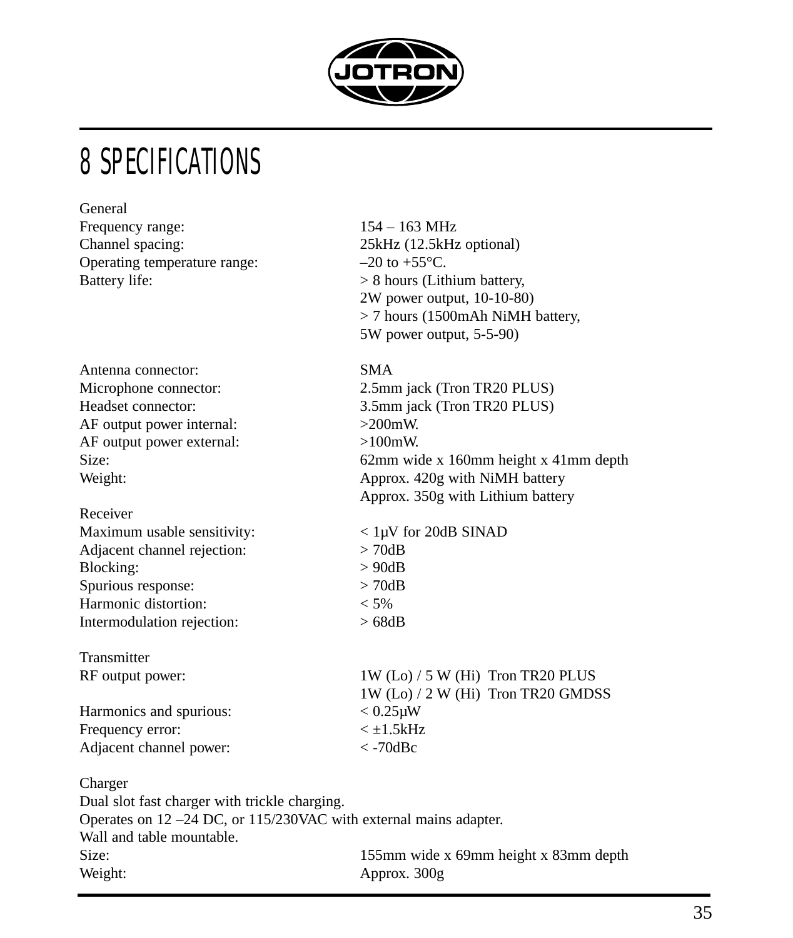![](_page_36_Picture_0.jpeg)

# 8 SPECIFICATIONS

General Frequency range: 154 – 163 MHz Channel spacing: 25kHz (12.5kHz optional) Operating temperature range:  $-20$  to  $+55^{\circ}$ C. Battery life:  $> 8$  hours (Lithium battery,

Antenna connector: SMA AF output power internal:  $>200$ mW. AF output power external:  $>100$ mW.

Receiver Adjacent channel rejection: > 70dB  $\text{Blocking:}$  > 90dB Spurious response:  $> 70dB$ Harmonic distortion:  $<$  5%

**Transmitter** 

Harmonics and spurious: < 0.25µW Frequency error:  $\leq \pm 1.5$  kHz Adjacent channel power:  $\langle$  -70dBc

2W power output, 10-10-80) > 7 hours (1500mAh NiMH battery, 5W power output, 5-5-90)

Microphone connector: 2.5mm jack (Tron TR20 PLUS) Headset connector: 3.5mm jack (Tron TR20 PLUS) Size: 62mm wide x 160mm height x 41mm depth Weight: Approx. 420g with NiMH battery Approx. 350g with Lithium battery

Maximum usable sensitivity:  $\langle 1 \mu V \rangle$  for 20dB SINAD Intermodulation rejection: > 68dB RF output power:  $1W (Lo) / 5 W (Hi)$  Tron TR20 PLUS

1W (Lo) / 2 W (Hi) Tron TR20 GMDSS

| Charger                                                          |                                       |  |
|------------------------------------------------------------------|---------------------------------------|--|
| Dual slot fast charger with trickle charging.                    |                                       |  |
| Operates on 12–24 DC, or 115/230VAC with external mains adapter. |                                       |  |
| Wall and table mountable.                                        |                                       |  |
| Size:                                                            | 155mm wide x 69mm height x 83mm depth |  |
| Weight:                                                          | Approx. $300g$                        |  |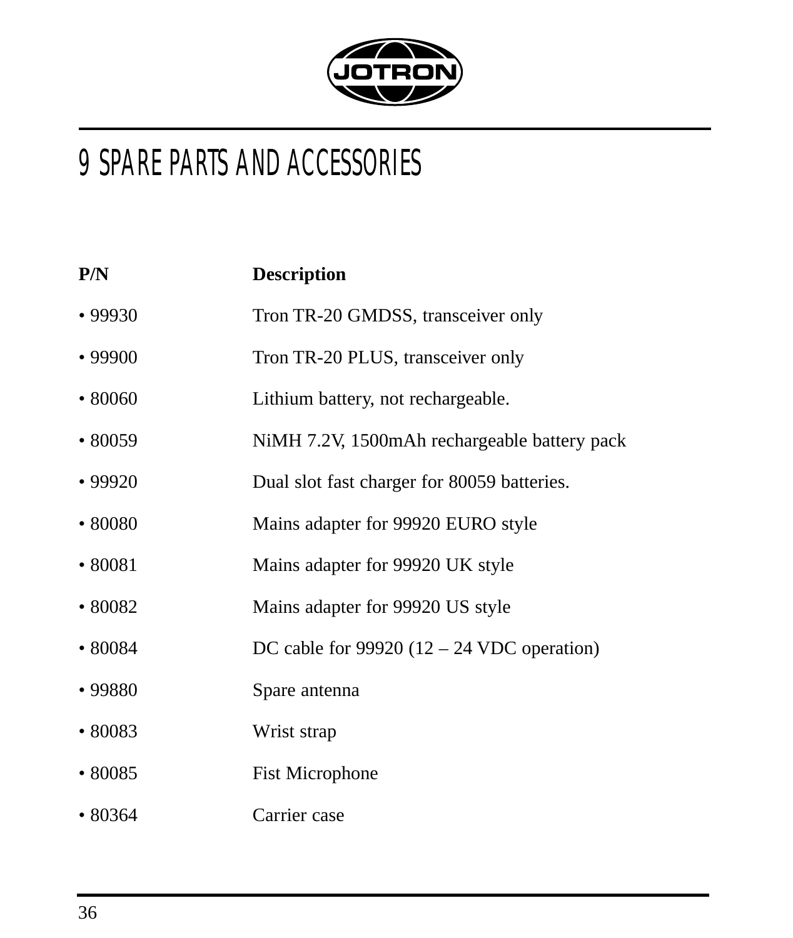![](_page_37_Picture_0.jpeg)

# 9 SPARE PARTS AND ACCESSORIES

| P/N    | <b>Description</b>                           |
|--------|----------------------------------------------|
| •99930 | Tron TR-20 GMDSS, transceiver only           |
| •99900 | Tron TR-20 PLUS, transceiver only            |
| •80060 | Lithium battery, not rechargeable.           |
| •80059 | NiMH 7.2V, 1500mAh rechargeable battery pack |
| •99920 | Dual slot fast charger for 80059 batteries.  |
| •80080 | Mains adapter for 99920 EURO style           |
| •80081 | Mains adapter for 99920 UK style             |
| •80082 | Mains adapter for 99920 US style             |
| •80084 | DC cable for $99920 (12 – 24 VDC operation)$ |
| •99880 | Spare antenna                                |
| •80083 | Wrist strap                                  |
| •80085 | <b>Fist Microphone</b>                       |
| •80364 | Carrier case                                 |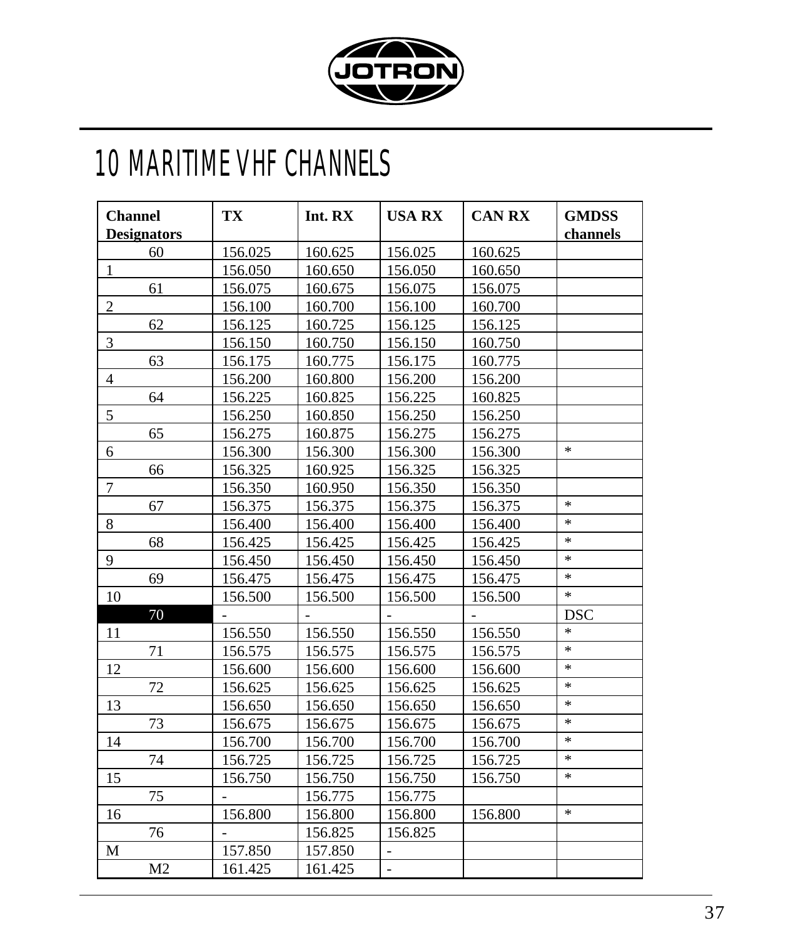![](_page_38_Picture_0.jpeg)

# 10 MARITIME VHF CHANNELS

| <b>Channel</b><br><b>Designators</b> | TX      | Int. RX | <b>USA RX</b>            | <b>CAN RX</b> | <b>GMDSS</b><br>channels |
|--------------------------------------|---------|---------|--------------------------|---------------|--------------------------|
| 60                                   | 156.025 | 160.625 | 156.025                  | 160.625       |                          |
| $\mathbf{1}$                         | 156.050 | 160.650 | 156.050                  | 160.650       |                          |
| 61                                   | 156.075 | 160.675 | 156.075                  | 156.075       |                          |
| $\overline{c}$                       | 156.100 | 160.700 | 156.100                  | 160.700       |                          |
| 62                                   | 156.125 | 160.725 | 156.125                  | 156.125       |                          |
| $\overline{3}$                       | 156.150 | 160.750 | 156.150                  | 160.750       |                          |
| 63                                   | 156.175 | 160.775 | 156.175                  | 160.775       |                          |
| $\overline{4}$                       | 156.200 | 160.800 | 156.200                  | 156.200       |                          |
| 64                                   | 156.225 | 160.825 | 156.225                  | 160.825       |                          |
| 5                                    | 156.250 | 160.850 | 156.250                  | 156.250       |                          |
| 65                                   | 156.275 | 160.875 | 156.275                  | 156.275       |                          |
| 6                                    | 156.300 | 156.300 | 156.300                  | 156.300       | $\ast$                   |
| 66                                   | 156.325 | 160.925 | 156.325                  | 156.325       |                          |
| $\tau$                               | 156.350 | 160.950 | 156.350                  | 156.350       |                          |
| 67                                   | 156.375 | 156.375 | 156.375                  | 156.375       | $\ast$                   |
| 8                                    | 156.400 | 156.400 | 156.400                  | 156.400       | $\frac{1}{2}$            |
| 68                                   | 156.425 | 156.425 | 156.425                  | 156.425       | $\frac{1}{2}$            |
| 9                                    | 156.450 | 156.450 | 156.450                  | 156.450       | $\frac{1}{2}$            |
| 69                                   | 156.475 | 156.475 | 156.475                  | 156.475       | $\ast$                   |
| 10                                   | 156.500 | 156.500 | 156.500                  | 156.500       | $\ast$                   |
| 70                                   |         |         |                          |               | <b>DSC</b>               |
| 11                                   | 156.550 | 156.550 | 156.550                  | 156.550       | $\frac{1}{2}$            |
| 71                                   | 156.575 | 156.575 | 156.575                  | 156.575       | $\ast$                   |
| 12                                   | 156.600 | 156.600 | 156.600                  | 156.600       | $\ast$                   |
| 72                                   | 156.625 | 156.625 | 156.625                  | 156.625       | $\ast$                   |
| 13                                   | 156.650 | 156.650 | 156.650                  | 156.650       | $\frac{1}{2}$            |
| 73                                   | 156.675 | 156.675 | 156.675                  | 156.675       | $\ast$                   |
| 14                                   | 156.700 | 156.700 | 156.700                  | 156.700       | $\ast$                   |
| 74                                   | 156.725 | 156.725 | 156.725                  | 156.725       | $\frac{1}{2}$            |
| 15                                   | 156.750 | 156.750 | 156.750                  | 156.750       | $\frac{1}{2}$            |
| 75                                   |         | 156.775 | 156.775                  |               |                          |
| 16                                   | 156.800 | 156.800 | 156.800                  | 156.800       | $\frac{1}{2}$            |
| 76                                   | L,      | 156.825 | 156.825                  |               |                          |
| М                                    | 157.850 | 157.850 | $\overline{\phantom{m}}$ |               |                          |
| M <sub>2</sub>                       | 161.425 | 161.425 | $\frac{1}{2}$            |               |                          |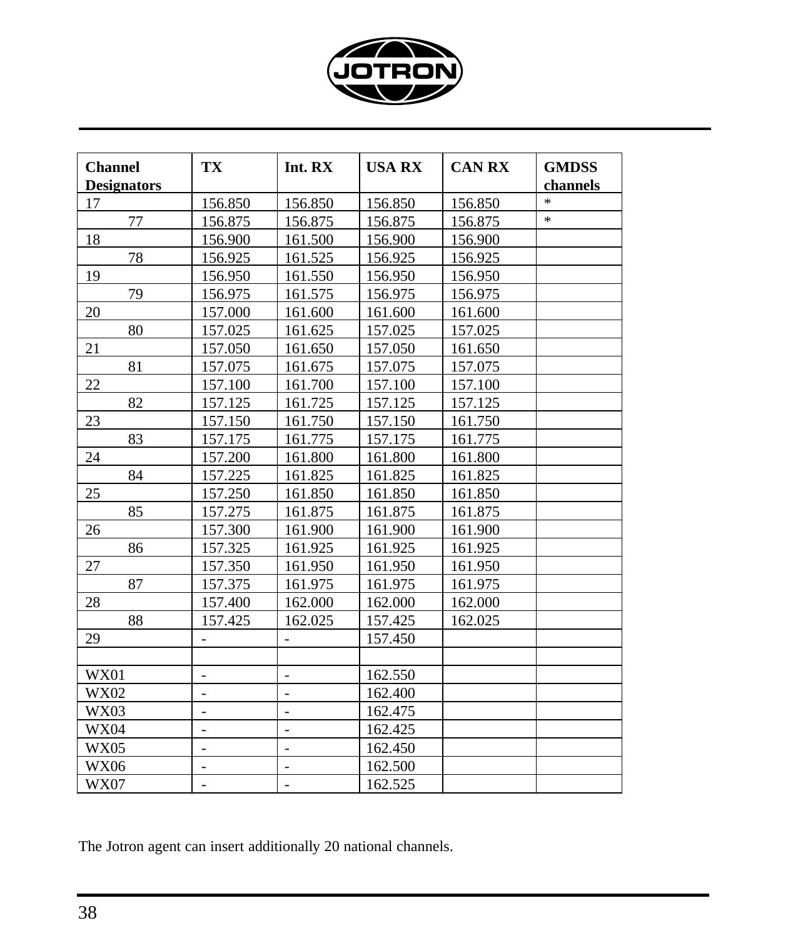![](_page_39_Picture_0.jpeg)

| <b>Channel</b>     | TX                           | Int. RX                  | <b>USA RX</b> | <b>CAN RX</b> | <b>GMDSS</b>  |
|--------------------|------------------------------|--------------------------|---------------|---------------|---------------|
| <b>Designators</b> |                              |                          |               |               | channels      |
| 17                 | 156.850                      | 156.850                  | 156.850       | 156.850       | $\frac{1}{2}$ |
| 77                 | 156.875                      | 156.875                  | 156.875       | 156.875       | $\ast$        |
| 18                 | 156.900                      | 161.500                  | 156.900       | 156.900       |               |
| 78                 | 156.925                      | 161.525                  | 156.925       | 156.925       |               |
| 19                 | 156.950                      | 161.550                  | 156.950       | 156.950       |               |
| 79                 | 156.975                      | 161.575                  | 156.975       | 156.975       |               |
| 20                 | 157.000                      | 161.600                  | 161.600       | 161.600       |               |
| 80                 | 157.025                      | 161.625                  | 157.025       | 157.025       |               |
| 21                 | 157.050                      | 161.650                  | 157.050       | 161.650       |               |
| 81                 | 157.075                      | 161.675                  | 157.075       | 157.075       |               |
| 22                 | 157.100                      | 161.700                  | 157.100       | 157.100       |               |
| 82                 | 157.125                      | 161.725                  | 157.125       | 157.125       |               |
| 23                 | 157.150                      | 161.750                  | 157.150       | 161.750       |               |
| 83                 | 157.175                      | 161.775                  | 157.175       | 161.775       |               |
| 24                 | 157.200                      | 161.800                  | 161.800       | 161.800       |               |
| 84                 | 157.225                      | 161.825                  | 161.825       | 161.825       |               |
| 25                 | 157.250                      | 161.850                  | 161.850       | 161.850       |               |
| 85                 | 157.275                      | 161.875                  | 161.875       | 161.875       |               |
| 26                 | 157.300                      | 161.900                  | 161.900       | 161.900       |               |
| 86                 | 157.325                      | 161.925                  | 161.925       | 161.925       |               |
| 27                 | 157.350                      | 161.950                  | 161.950       | 161.950       |               |
| 87                 | 157.375                      | 161.975                  | 161.975       | 161.975       |               |
| 28                 | 157.400                      | 162.000                  | 162.000       | 162.000       |               |
| 88                 | 157.425                      | 162.025                  | 157.425       | 162.025       |               |
| 29                 | $\overline{a}$               | $\overline{a}$           | 157.450       |               |               |
|                    |                              |                          |               |               |               |
| <b>WX01</b>        | $\overline{a}$               | $\frac{1}{2}$            | 162.550       |               |               |
| WX02               | $\overline{\phantom{m}}$     | $\overline{\phantom{a}}$ | 162.400       |               |               |
| <b>WX03</b>        | $\overline{\phantom{a}}$     | $\overline{\phantom{a}}$ | 162.475       |               |               |
| <b>WX04</b>        | $\qquad \qquad \blacksquare$ | $\frac{1}{2}$            | 162.425       |               |               |
| <b>WX05</b>        | $\overline{a}$               | $\overline{a}$           | 162.450       |               |               |
| <b>WX06</b>        | $\overline{a}$               | $\overline{a}$           | 162.500       |               |               |
| <b>WX07</b>        |                              | $\overline{a}$           | 162.525       |               |               |

The Jotron agent can insert additionally 20 national channels.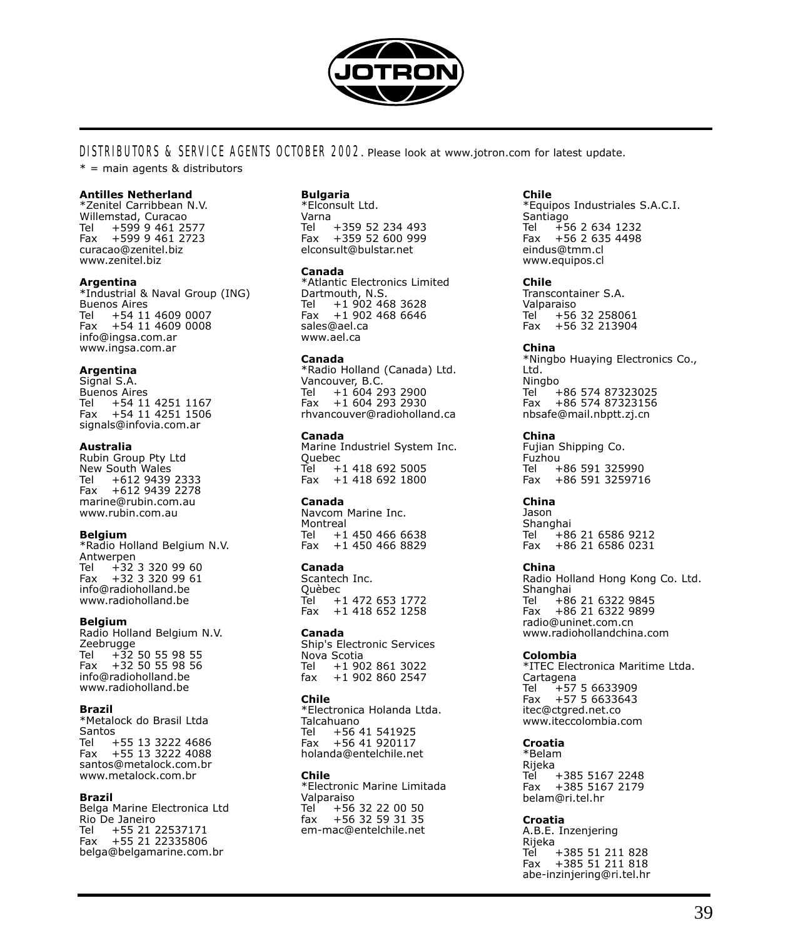![](_page_40_Picture_0.jpeg)

DISTRIBUTORS & SERVICE AGENTS OCTOBER 2002. Please look at www.jotron.com for latest update.  $* =$  main agents & distributors

**Antilles Netherland**

\*Zenitel Carribbean N.V. Willemstad, Curacao Tel +599 9 461 2577 Fax +599 9 461 2723 curacao@zenitel.biz www.zenitel.biz

#### **Argentina**

\*Industrial & Naval Group (ING) Buenos Aires  $+54$  11 4609 0007 Fax +54 11 4609 0008 info@ingsa.com.ar www.ingsa.com.ar

#### **Argentina**

Signal S.A. Buenos Aires<br>Tel +54.11  $+54$  11 4251 1167 Fax +54 11 4251 1506 signals@infovia.com.ar

#### **Australia**

Rubin Group Pty Ltd New South Wales  $+6129439233$ Fax +612 9439 2278 marine@rubin.com.au www.rubin.com.au

#### **Belgium**

\*Radio Holland Belgium N.V. Antwerpen  $Tel$  +32 3 320 99 60 Fax +32 3 320 99 61 info@radioholland.be www.radioholland.be

#### **Belgium**

Radio Holland Belgium N.V. **Zeebrugge** Tel +32 50 55 98 55 Fax +32 50 55 98 56 info@radioholland.be www.radioholland.be

#### **Brazil**

\*Metalock do Brasil Ltda Santos Tel +55 13 3222 4686 Fax +55 13 3222 4088 santos@metalock.com.br www.metalock.com.br

#### **Brazil**

Belga Marine Electronica Ltd Rio De Janeiro<br>Tel +55 21 2 Tel +55 21 22537171 Fax +55 21 22335806 belga@belgamarine.com.br

#### **Bulgaria**

\*Elconsult Ltd. Varna Tel +359 52 234 493 Fax +359 52 600 999 elconsult@bulstar.net

#### **Canada**

\*Atlantic Electronics Limited Dartmouth, N.S. Tel +1 902 468 3628 Fax +1 902 468 6646 sales@ael.ca www.ael.ca

#### **Canada**

\*Radio Holland (Canada) Ltd. Vancouver, B.C. Tel +1 604 293 2900 Fax +1 604 293 2930 rhvancouver@radioholland.ca

#### **Canada**

Marine Industriel System Inc. Ouebec Tel +1 418 692 5005  $Fax + 14186921800$ 

#### **Canada**

Navcom Marine Inc. Montreal Tel +1 450 466 6638 Fax +1 450 466 8829

#### **Canada**

Scantech Inc. Quèbec<br>Tel +  $+1$  472 653 1772 Fax +1 418 652 1258

#### **Canada**

Ship's Electronic Services Nova Scotia Tel +1 902 861 3022 fax +1 902 860 2547

#### **Chile**

\*Electronica Holanda Ltda. Talcahuano<br>Tel +56  $+56$  41 541925 Fax +56 41 920117 holanda@entelchile.net

#### **Chile**

\*Electronic Marine Limitada Valparaiso Tel +56 32 22 00 50 fax +56 32 59 31 35 em-mac@entelchile.net

#### **Chile**

\*Equipos Industriales S.A.C.I. Santiago Tel +56 2 634 1232 Fax +56 2 635 4498 eindus@tmm.cl www.equinos.cl

#### **Chile**

Transcontainer S.A. Valparaiso<br>Tel +56  $+56$  32 258061 Fax +56 32 213904

#### **China**

\*Ningbo Huaying Electronics Co., Ltd. Ningbo Tel +86 574 87323025 Fax +86 574 87323156 nbsafe@mail.nbptt.zj.cn

#### **China**

Fujian Shipping Co. Fuzhou<br>Tel +  $+86$  591 325990 Fax +86 591 3259716

### **China**

Jason Shanghai<br>Tel +86  $+86$  21 6586 9212 Fax +86 21 6586 0231

#### **China**

Radio Holland Hong Kong Co. Ltd. Shanghai Tel +86 21 6322 9845 Fax +86 21 6322 9899 radio@uninet.com.cn www.radiohollandchina.com

#### **Colombia**

\*ITEC Electronica Maritime Ltda. Cartagena Tel +57 5 6633909 Fax +57 5 6633643 itec@ctgred.net.co www.iteccolombia.com

#### **Croatia**

\*Belam Rijeka<br>Tel  $+385$  5167 2248 Fax +385 5167 2179 belam@ri.tel.hr

#### **Croatia**

A.B.E. Inzenjering Rijeka Tel +385 51 211 828 Fax +385 51 211 818 abe-inzinjering@ri.tel.hr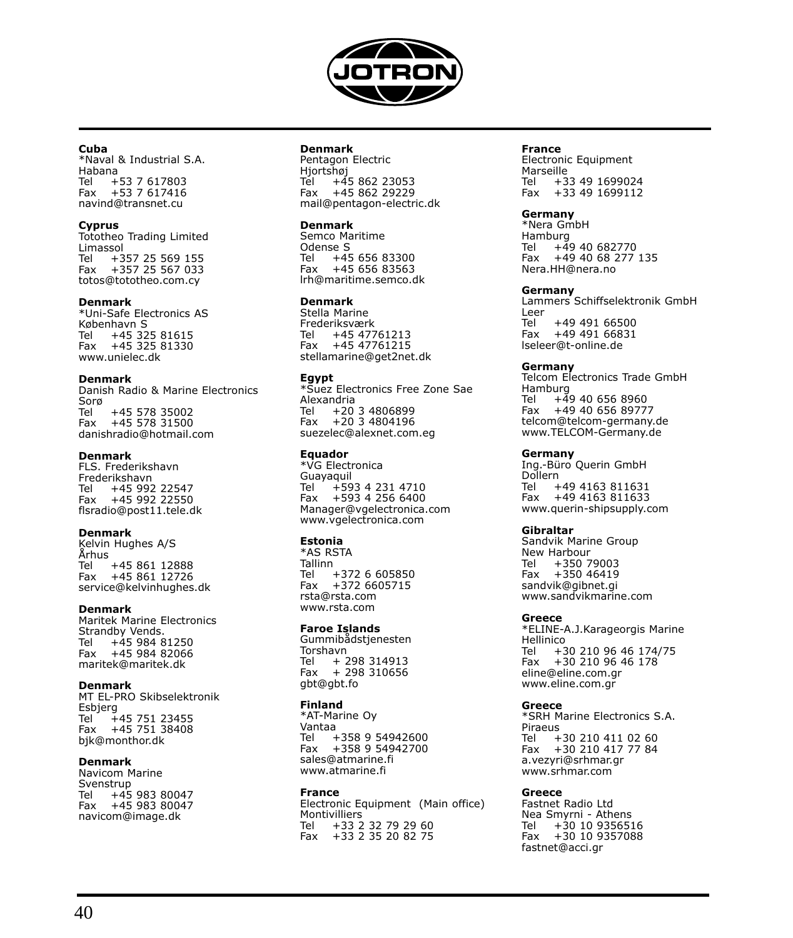![](_page_41_Picture_0.jpeg)

#### **Cuba**

\*Naval & Industrial S.A. Habana Tel +53 7 617803 Fax +53 7 617416 navind@transnet.cu

#### **Cyprus**

Tototheo Trading Limited Limassol Tel +357 25 569 155 Fax +357 25 567 033 totos@tototheo.com.cy

#### **Denmark**

\*Uni-Safe Electronics AS København S Tel +45 325 81615 Fax +45 325 81330 www.unielec.dk

#### **Denmark**

Danish Radio & Marine Electronics Sorø Tel +45 578 35002 Fax +45 578 31500 danishradio@hotmail.com

#### **Denmark**

FLS. Frederikshavn Frederikshavn Tel +45 992 22547 Fax +45 992 22550 flsradio@post11.tele.dk

#### **Denmark**

Kelvin Hughes A/S Århus Tel +45 861 12888 Fax +45 861 12726 service@kelvinhughes.dk

#### **Denmark**

Maritek Marine Electronics Strandby Vends. Tel +45 984 81250 Fax +45 984 82066 maritek@maritek.dk

#### **Denmark**

MT EL-PRO Skibselektronik Esbjerg Tel +45 751 23455 Fax +45 751 38408 bik@monthor.dk

#### **Denmark**

Navicom Marine Svenstrup Tel +45 983 80047 Fax +45 983 80047 navicom@image.dk

#### **Denmark**

Pentagon Electric Hjortshøj Tel +45 862 23053 Fax +45 862 29229 mail@pentagon-electric.dk

#### **Denmark**

Semco Maritime Odense S Tel +45 656 83300 Fax +45 656 83563 lrh@maritime.semco.dk

#### **Denmark**

Stella Marine Frederiksværk Tel +45 47761213 Fax +45 47761215 stellamarine@get2net.dk

**Egypt** \*Suez Electronics Free Zone Sae Alexandria Tel +20 3 4806899 Fax +20 3 4804196 suezelec@alexnet.com.eg

#### **Equador**

\*VG Electronica Guayaquil Tel +593 4 231 4710 Fax +593 4 256 6400 Manager@vgelectronica.com www.vgelectronica.com

#### **Estonia**

\*AS RSTA Tallinn Tel +372 6 605850 Fax +372 6605715 rsta@rsta.com www.rsta.com

### **Faroe Islands**

Gummibådstjenesten Torshavn Tel + 298 314913 Fax + 298 310656 gbt@gbt.fo

#### **Finland**

\*AT-Marine Oy Vantaa Tel +358 9 54942600 Fax +358 9 54942700 sales@atmarine.fi www.atmarine.fi

#### **France**

Electronic Equipment (Main office) Montivilliers Tel +33 2 32 79 29 60 Fax +33 2 35 20 82 75

#### **France**

Electronic Equipment Marseille<br>Tel +3  $+33$  49 1699024 Fax +33 49 1699112

#### **Germany**

\*Nera GmbH Hamburg  $Tel$  +49 40 682770 Fax +49 40 68 277 135 Nera.HH@nera.no

**Germany** Lammers Schiffselektronik GmbH Leer Tel +49 491 66500 Fax +49 491 66831 lseleer@t-online.de

#### **Germany**

Telcom Electronics Trade GmbH Hamburg Tel +49 40 656 8960 Fax +49 40 656 89777 telcom@telcom-germany.de www.TELCOM-Germany.de

#### **Germany**

Ing.-Büro Querin GmbH Dollern Tel  $+49$  4163 811631 Fax +49 4163 811633 www.querin-shipsupply.com

#### **Gibraltar**

Sandvik Marine Group New Harbour Tel +350 79003 Fax +350 46419 sandvik@gibnet.gi www.sandvikmarine.com

#### **Greece**

\*ELINE-A.J.Karageorgis Marine Hellinico Tel +30 210 96 46 174/75 Fax +30 210 96 46 178 eline@eline.com.gr www.eline.com.gr

#### **Greece**

\*SRH Marine Electronics S.A. **Piraeus** Tel +30 210 411 02 60 Fax +30 210 417 77 84 a.vezyri@srhmar.gr www.srhmar.com

#### **Greece**

Fastnet Radio Ltd Nea Smyrni - Athens Tel +30 10 9356516 Fax +30 10 9357088 fastnet@acci.gr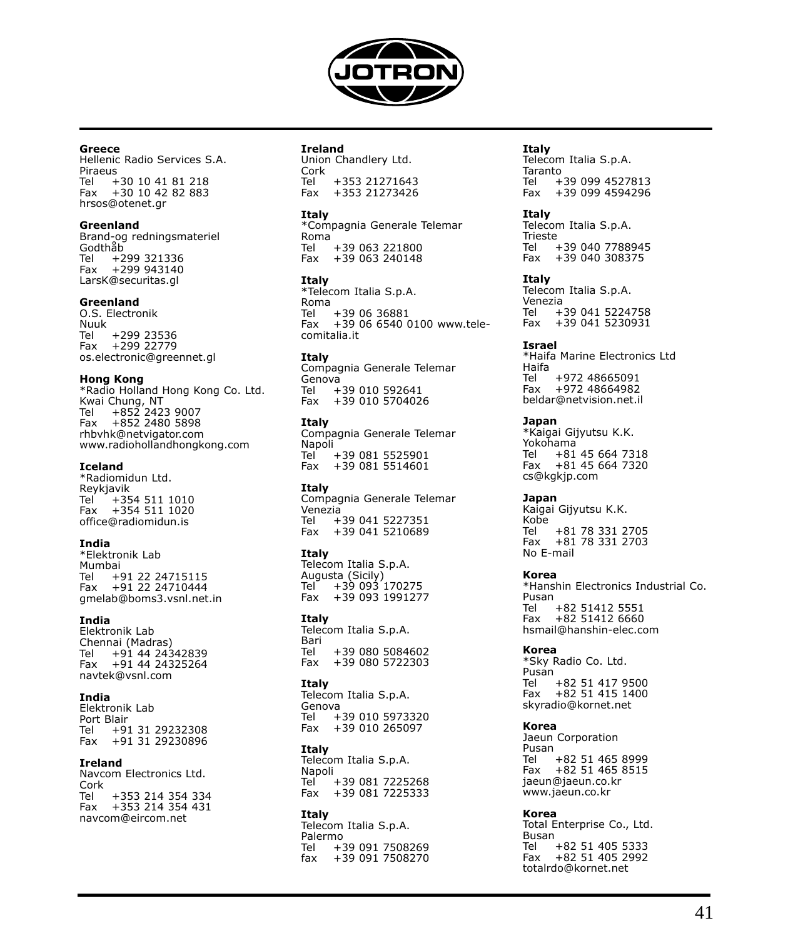![](_page_42_Picture_0.jpeg)

#### **Greece**

Hellenic Radio Services S.A. Piraeus Tel +30 10 41 81 218 Fax +30 10 42 82 883 hrsos@otenet.gr

#### **Greenland**

Brand-og redningsmateriel Godthåb Tel +299 321336 Fax +299 943140 LarsK@securitas.gl

#### **Greenland**

O.S. Electronik Nuuk  $Tel$  +299 23536 Fax +299 22779 os.electronic@greennet.gl

#### **Hong Kong**

\*Radio Holland Hong Kong Co. Ltd. Kwai Chung, NT Tel +852 2423 9007 Fax +852 2480 5898 rhbvhk@netvigator.com www.radiohollandhongkong.com

#### **Iceland**

\*Radiomidun Ltd. Reykjavik Tel +354 511 1010 Fax +354 511 1010<br>Fax +354 511 1020 office@radiomidun.is

### **India**

\*Elektronik Lab Mumbai Tel +91 22 24715115 Fax +91 22 24710444 gmelab@boms3.vsnl.net.in

#### **India**

Elektronik Lab Chennai (Madras) Tel +91 44 24342839 Fax +91 44 24325264 navtek@vsnl.com

#### **India**

Elektronik Lab Port Blair Tel +91 31 29232308 Fax +91 31 29230896

#### **Ireland**

Navcom Electronics Ltd. Cork Tel +353 214 354 334 Fax +353 214 354 431 navcom@eircom.net

#### **Ireland**

Union Chandlery Ltd. Cork Tel +353 21271643 Fax +353 21273426

#### **Italy**

\*Compagnia Generale Telemar Roma Tel +39 063 221800 Fax +39 063 240148

#### **Italy**

\*Telecom Italia S.p.A. Roma Tel +39 06 36881 Fax +39 06 6540 0100 www.telecomitalia.it

### **Italy**

Compagnia Generale Telemar Genova Tel +39 010 592641 Fax +39 010 5704026

#### **Italy**

Compagnia Generale Telemar Napoli  $Tel$  +39 081 5525901 Fax +39 081 5514601

### **Italy**

Compagnia Generale Telemar Venezia Tel +39 041 5227351 Fax +39 041 5210689

#### **Italy**

Telecom Italia S.p.A. Augusta (Sicily) Tel +39 093 170275 Fax +39 093 1991277

#### **Italy**

Telecom Italia S.p.A. Bari Tel +39 080 5084602 Fax +39 080 5722303

#### **Italy**

Telecom Italia S.p.A. Genova Tel +39 010 5973320 Fax +39 010 265097

#### **Italy**

Telecom Italia S.p.A. Napoli Tel +39 081 7225268 Fax +39 081 7225333

#### **Italy**  Telecom Italia S.p.A. Palermo Tel +39 091 7508269 fax +39 091 7508270

#### **Italy**

Telecom Italia S.p.A. Taranto Tel +39 099 4527813 Fax +39 099 4594296

#### **Italy**

Telecom Italia S.p.A. Trieste Tel +39 040 7788945 Fax +39 040 308375

#### **Italy**

Telecom Italia S.p.A. Venezia Tel +39 041 5224758 Fax +39 041 5230931

#### **Israel**

\*Haifa Marine Electronics Ltd Haifa Tel +972 48665091 Fax +972 48664982 beldar@netvision.net.il

#### **Japan**

\*Kaigai Gijyutsu K.K. Yokohama Tel +81 45 664 7318 Fax +81 45 664 7320 cs@kgkjp.com

#### **Japan**

Kaigai Gijyutsu K.K. Kobe Tel +81 78 331 2705 Fax +81 78 331 2703 No E-mail

#### **Korea**

\*Hanshin Electronics Industrial Co. Pusan Tel +82 51412 5551 Fax +82 51412 6660 hsmail@hanshin-elec.com

**Korea** \*Sky Radio Co. Ltd. Pusan Tel +82 51 417 9500 Fax +82 51 415 1400 skyradio@kornet.net

#### **Korea**

Jaeun Corporation Pusan Tel +82 51 465 8999 Fax +82 51 465 8515 jaeun@jaeun.co.kr www.jaeun.co.kr

#### **Korea**

Total Enterprise Co., Ltd. Busan Tel +82 51 405 5333 Fax +82 51 405 2992 totalrdo@kornet.net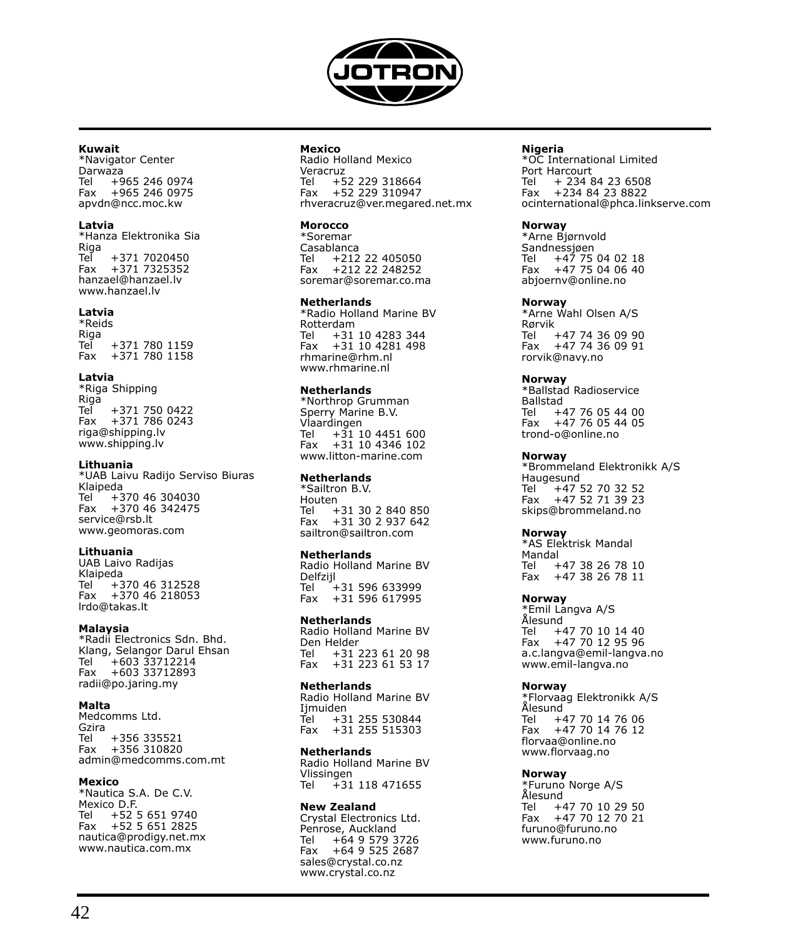![](_page_43_Picture_0.jpeg)

#### **Kuwait**

\*Navigator Center Darwaza Tel +965 246 0974 Fax +965 246 0975 apvdn@ncc.moc.kw

#### **Latvia**

\*Hanza Elektronika Sia Riga  $+3717020450$ Fax +371 7325352 hanzael@hanzael.lv www.hanzael.lv

### **Latvia**

\*Reids Riga<br>Tel  $+371$  780 1159 Fax +371 780 1158

#### **Latvia**

\*Riga Shipping Riga  $Tel$  +371 750 0422 Fax +371 786 0243 riga@shipping.lv www.shipping.lv

#### **Lithuania**

\*UAB Laivu Radijo Serviso Biuras Klaipeda Tel +370 46 304030 Fax +370 46 342475 service@rsb.lt www.geomoras.com

#### **Lithuania**

UAB Laivo Radijas Klaipeda Tel +370 46 312528 Fax +370 46 218053 lrdo@takas.lt

#### **Malaysia**

\*Radii Electronics Sdn. Bhd. Klang, Selangor Darul Ehsan Tel +603 33712214 Fax +603 33712893 radii@po.jaring.my

#### **Malta**

Medcomms Ltd. Gzira Tel +356 335521 Fax +356 310820 admin@medcomms.com.mt

#### **Mexico**

\*Nautica S.A. De C.V. Mexico D.F. Tel +52 5 651 9740 Fax +52 5 651 2825 nautica@prodigy.net.mx www.nautica.com.mx

#### **Mexico**

Radio Holland Mexico Veracruz Tel +52 229 318664 Fax +52 229 310947 rhveracruz@ver.megared.net.mx

#### **Morocco**

\*Soremar Casablanca<br>Tel +212 Tel +212 22 405050<br>Fax +212 22 248252  $+212$  22 248252 soremar@soremar.co.ma

#### **Netherlands**

\*Radio Holland Marine BV Rotterdam Tel +31 10 4283 344 Fax +31 10 4281 498 rhmarine@rhm.nl www.rhmarine.nl

#### **Netherlands**

\*Northrop Grumman Sperry Marine B.V. Vlaardingen Tel +31 10 4451 600 Fax +31 10 4346 102 www.litton-marine.com

#### **Netherlands**

\*Sailtron B.V. Houten  $Tel$  +31 30 2 840 850 Fax +31 30 2 937 642 sailtron@sailtron.com

#### **Netherlands**

Radio Holland Marine BV Delfzijl<br>Tel +31 596 633999 Tel +31 596 633999 Fax +31 596 617995

#### **Netherlands**

Radio Holland Marine BV Den Helder Tel +31 223 61 20 98 Fax +31 223 61 53 17

#### **Netherlands**

Radio Holland Marine BV Ijmuiden Tel +31 255 530844 Fax +31 255 515303

#### **Netherlands**

Radio Holland Marine BV Vlissingen Tel +31 118 471655

### **New Zealand**

Crystal Electronics Ltd. Penrose, Auckland Tel +64 9 579 3726 Fax +64 9 525 2687 sales@crystal.co.nz www.crystal.co.nz

#### **Nigeria**

\*OC International Limited Port Harcourt  $+ 23484236508$ Fax +234 84 23 8822 ocinternational@phca.linkserve.com

#### **Norway**

\*Arne Bjørnvold Sandnessjøen Tel +47 75 04 02 18 Fax +47 75 04 06 40 abjoernv@online.no

#### **Norway**

\*Arne Wahl Olsen A/S Rørvik  $Tel$  +47 74 36 09 90 Fax +47 74 36 09 91 rorvik@navy.no

#### **Norway**

\*Ballstad Radioservice Ballstad Tel +47 76 05 44 00 Fax +47 76 05 44 05 trond-o@online.no

#### **Norway**

\*Brommeland Elektronikk A/S Haugesund Tel +47 52 70 32 52 Fax +47 52 71 39 23 skips@brommeland.no

**Norway** \*AS Elektrisk Mandal Mandal Tel +47 38 26 78 10 Fax +47 38 26 78 11

#### **Norway**

\*Emil Langva A/S Ålesund  $Tel$  +47 70 10 14 40 Fax +47 70 12 95 96 a.c.langva@emil-langva.no www.emil-langva.no

#### **Norway**

\*Florvaag Elektronikk A/S Ålesund Tel +47 70 14 76 06 Fax +47 70 14 76 12 florvaa@online.no www.florvaag.no

#### **Norway**

\*Furuno Norge A/S Ålesund Tel +47 70 10 29 50 Fax +47 70 12 70 21 furuno@furuno.no www.furuno.no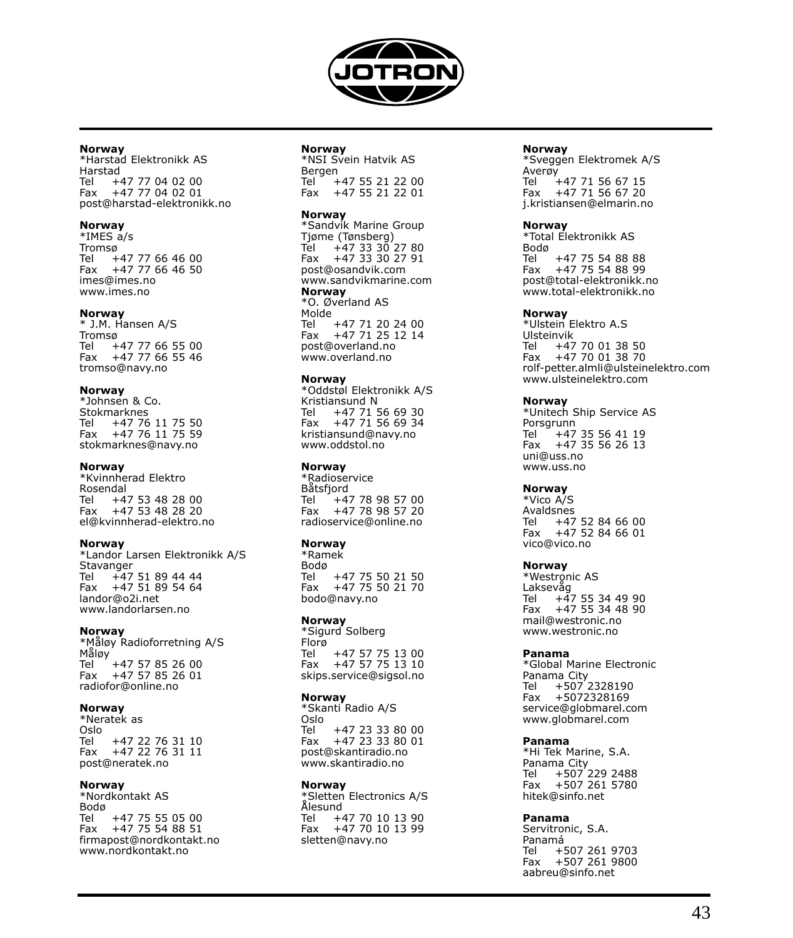![](_page_44_Picture_0.jpeg)

#### **Norway**

\*Harstad Elektronikk AS Harstad Tel +47 77 04 02 00 Fax +47 77 04 02 01 post@harstad-elektronikk.no

#### **Norway**

\*IMES a/s  $T_{\text{D}}$ Tromsø  $Tel$  +47 77 66 46 00  $+47$  77 66 46 50 imes@imes.no www.imes.no

#### **Norway**

\* J.M. Hansen A/S Tromsø<br>Tel +  $+47$  77 66 55 00 Fax +47 77 66 55 46 tromso@navy.no

#### **Norway**

\*Johnsen & Co. **Stokmarknes** Tel +47 76 11 75 50 Fax +47 76 11 75 59 stokmarknes@navy.no

#### **Norway**

\*Kvinnherad Elektro Rosendal noscriuai<br>Tel +47 53 48 28 00 Fax +47 53 48 28 20 el@kvinnherad-elektro.no

#### **Norway**

\*Landor Larsen Elektronikk A/S **Stavanger** Tel +47 51 89 44 44 Fax +47 51 89 54 64 landor@o2i.net www.landorlarsen.no

#### **Norway**

\*Måløy Radioforretning A/S Måløy Tel +47 57 85 26 00 Fax +47 57 85 26 01 radiofor@online.no

**Norway**  \*Neratek as Oslo Tel +47 22 76 31 10 Fax +47 22 76 31 11 post@neratek.no

#### **Norway**

\*Nordkontakt AS Bodø  $Tel$  +47 75 55 05 00 Fax +47 75 54 88 51 firmapost@nordkontakt.no www.nordkontakt.no

#### **Norway**

\*NSI Svein Hatvik AS Bergen Tel +47 55 21 22 00 Fax +47 55 21 22 01

**Norway** \*Sandvik Marine Group Tjøme (Tønsberg) Tel +47 33 30 27 80 Fax +47 33 30 27 91 post@osandvik.com www.sandvikmarine.com **Norway**  \*O. Øverland AS Molde Tel +47 71 20 24 00 Fax +47 71 25 12 14 post@overland.no www.overland.no

#### **Norway**

\*Oddstøl Elektronikk A/S Kristiansund N Tel +47 71 56 69 30 Fax +47 71 56 69 34 kristiansund@navy.no www.oddstol.no

#### **Norway**

\*Radioservice Båtsfjord<br>Tel +47 78 98 57 00 Tel +47 78 98 57 00 Fax +47 78 98 57 20 radioservice@online.no

#### **Norway**

\*Ramek Bodø Tel +47 75 50 21 50 Fax +47 75 50 21 70 bodo@navy.no

**Norway**  \*Sigurd Solberg Florø Tel +47 57 75 13 00 Fax +47 57 75 13 10 skips.service@sigsol.no

#### **Norway**

\*Skanti Radio A/S Oslo Tel +47 23 33 80 00 Fax +47 23 33 80 01 post@skantiradio.no www.skantiradio.no

**Norway** \*Sletten Electronics A/S Ålesund Tel +47 70 10 13 90 Fax +47 70 10 13 99 sletten@navy.no

#### **Norway**

\*Sveggen Elektromek A/S Averøy Tel +47 71 56 67 15 Fax +47 71 56 67 20 j.kristiansen@elmarin.no

#### **Norway**

\*Total Elektronikk AS Bodø Tel +47 75 54 88 88 Fax +47 75 54 88 99 post@total-elektronikk.no www.total-elektronikk.no

**Norway** \*Ulstein Elektro A.S Ulsteinvik<br>Tel +47  $+47$  70 01 38 50 Fax +47 70 01 38 70 rolf-petter.almli@ulsteinelektro.com www.ulsteinelektro.com

**Norway** \*Unitech Ship Service AS **Porsgrunn** Tel +47 35 56 41 19 Fax +47 35 56 26 13 uni@uss.no www.uss.no

### **Norway** \*Vico A/S

Avaldsnes Tel  $+47$  52 84 66 00<br>Fax  $+47$  52 84 66 01  $+47\,52\,84\,66\,01$ vico@vico.no

#### **Norway**

\*Westronic AS Laksevåg  $Tel$  +47 55 34 49 90 Fax +47 55 34 48 90 mail@westronic.no www.westronic.no

#### **Panama**

\*Global Marine Electronic Panama City Tel +507 2328190 Fax +5072328169 service@globmarel.com www.globmarel.com

#### **Panama**

\*Hi Tek Marine, S.A. Panama City Tel +507 229 2488 Fax +507 261 5780 hitek@sinfo.net

#### **Panama**

Servitronic, S.A. Panamá<br>Tel +  $+5072619703$ Fax +507 261 9800 aabreu@sinfo.net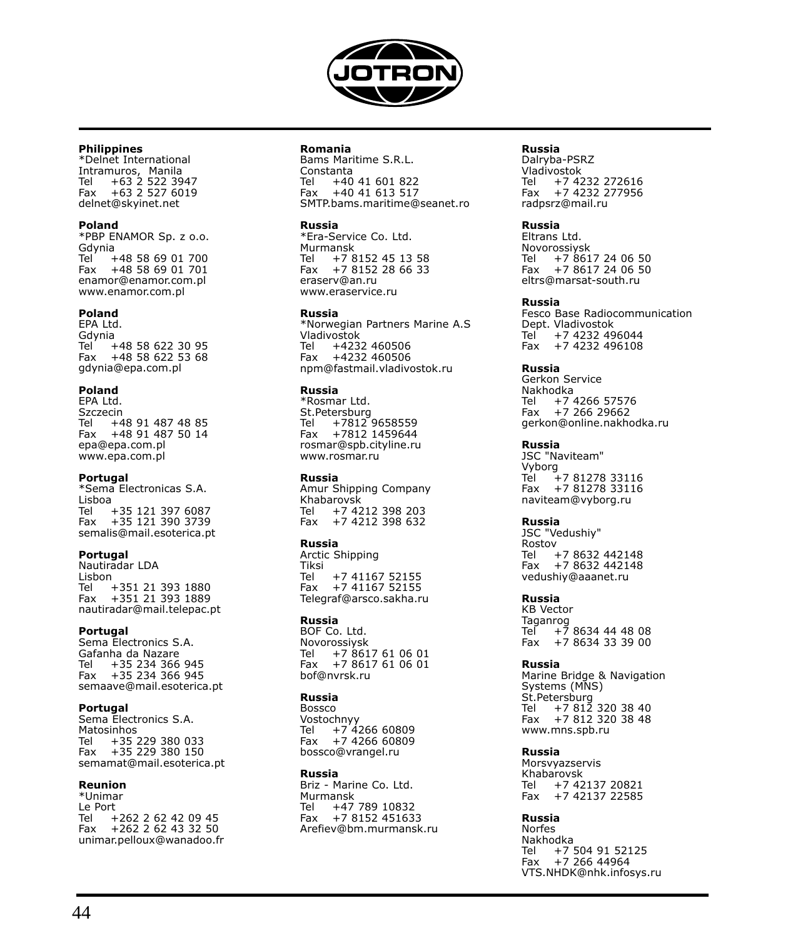![](_page_45_Picture_0.jpeg)

#### **Philippines**

\*Delnet International Intramuros, Manila Tel +63 2 522 3947 Fax +63 2 527 6019 delnet@skyinet.net

#### **Poland**

\*PBP ENAMOR Sp. z o.o. Gdynia Tel +48 58 69 01 700 Fax +48 58 69 01 701 enamor@enamor.com.pl www.enamor.com.pl

#### **Poland**

EPA Ltd. Gdynia<br>Tel Tel +48 58 622 30 95<br>Fax +48 58 622 53 68  $+48$  58 622 53 68 gdynia@epa.com.pl

### **Poland**

EPA Ltd. Szczecin Tel +48 91 487 48 85 Fax +48 91 487 50 14 epa@epa.com.pl www.epa.com.pl

#### **Portugal**

\*Sema Electronicas S.A. Lisboa  $T_{+35}$  121 397 6087 Fax +35 121 390 3739 semalis@mail.esoterica.pt

#### **Portugal**

Nautiradar LDA Lisbon  $\overline{1}$  +351 21 393 1880 Fax +351 21 393 1889 nautiradar@mail.telepac.pt

#### **Portugal**

Sema Electronics S.A. Gafanha da Nazare<br>Tel +35 234 366 Tel +35 234 366 945 Fax +35 234 366 945 semaave@mail.esoterica.pt

#### **Portugal**

Sema Electronics S.A. Matosinhos Tel +35 229 380 033 Fax +35 229 380 150 semamat@mail.esoterica.pt

#### **Reunion**

\*Unimar Le Port Tel  $+262$  2 62 42 09 45 Fax +262 2 62 43 32 50 unimar.pelloux@wanadoo.fr

#### **Romania**

Bams Maritime S.R.L. Constanta Tel +40 41 601 822<br>Fax +40 41 613 517  $+40$  41 613 517 rux 1140 41 013 317<br>SMTP.hams.maritime@seanet.ro

#### **Russia**

\*Era-Service Co. Ltd. Murmansk Tel +7 8152 45 13 58 Fax +7 8152 28 66 33 eraserv@an.ru www.eraservice.ru

### **Russia**

\*Norwegian Partners Marine A.S Vladivostok Tel +4232 460506<br>Fax +4232 460506  $+4232460506$ npm@fastmail.vladivostok.ru

#### **Russia**

\*Rosmar Ltd. St.Petersburg Tel +7812 9658559 Fax +7812 1459644 rosmar@spb.cityline.ru www.rosmar.ru

#### **Russia**

Amur Shipping Company Khabarovsk Tel +7 4212 398 203 Fax +7 4212 398 632

#### **Russia**

Arctic Shipping Tiksi Tel +7 41167 52155 Fax +7 41167 52155 Telegraf@arsco.sakha.ru

#### **Russia**

BOF Co. Ltd. Novorossiysk Tel +7 8617 61 06 01 Fax +7 8617 61 06 01 bof@nvrsk.ru

### **Russia**

Bossco Vostochnyy Tel +7 4266 60809 Fax +7 4266 60809 bossco@vrangel.ru

#### **Russia**

Briz - Marine Co. Ltd. Murmansk Tel +47 789 10832 Fax +7 8152 451633 Arefiev@bm.murmansk.ru

#### **Russia**

Dalryba-PSRZ Vladivostok Tel +7 4232 272616 Fax +7 4232 277956 radpsrz@mail.ru

#### **Russia**

Eltrans Ltd. Novorossiysk Tel +7 8617 24 06 50 Fax +7 8617 24 06 50 eltrs@marsat-south.ru

#### **Russia**

Fesco Base Radiocommunication Dept. Vladivostok Tel +7 4232 496044 Fax +7 4232 496108

#### **Russia**

Gerkon Service Nakhodka Tel +7 4266 57576 Fax +7 266 29662 gerkon@online.nakhodka.ru

#### **Russia**

JSC "Naviteam" Vyborg Tel +7 81278 33116 Fax +7 81278 33116 naviteam@vyborg.ru

#### **Russia**

JSC "Vedushiy" Rostov Tel  $+78632442148$ Fax +7 8632 442148 vedushiy@aaanet.ru

#### **Russia**

KB Vector Taganrog Tel +7 8634 44 48 08 Fax +7 8634 33 39 00

#### **Russia**

Marine Bridge & Navigation Systems (MNS) St.Petersburg Tel +7 812 320 38 40 Fax +7 812 320 38 48 www.mns.spb.ru

#### **Russia**

Morsvyazservis Khabarovsk Tel +7 42137 20821 Fax +7 42137 22585

### **Russia**

Norfes Nakhodka<br>Tel +7  $+7$  504 91 52125  $Fax +7 266 44964$ VTS.NHDK@nhk.infosys.ru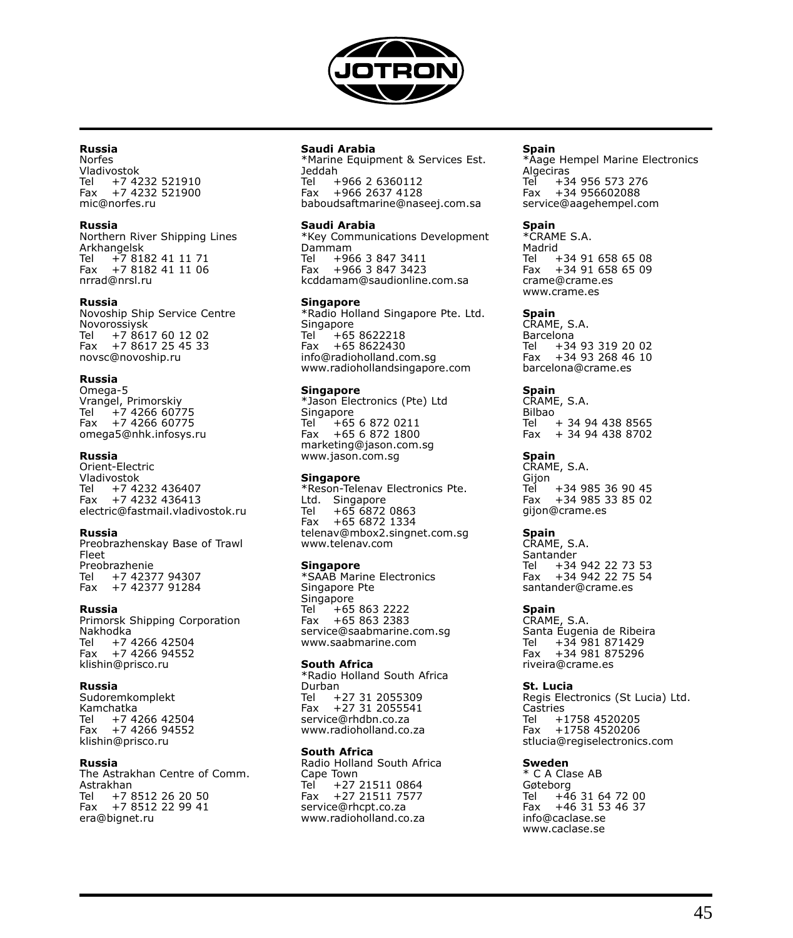![](_page_46_Picture_0.jpeg)

#### **Russia**

Norfes Vladivostok Tel +7 4232 521910 Fax +7 4232 521900 mic@norfes.ru

#### **Russia**

Northern River Shipping Lines Arkhangelsk Tel +7 8182 41 11 71 Fax +7 8182 41 11 06 nrrad@nrsl.ru

#### **Russia**

Novoship Ship Service Centre Novorossiysk Tel  $+78617601202$ Fax +7 8617 25 45 33 novsc@novoship.ru

#### **Russia**

Omega-5 Vrangel, Primorskiy Tel +7 4266 60775 Fax +7 4266 60775 omega5@nhk.infosys.ru

#### **Russia**

Orient-Electric Vladivostok Tel +7 4232 436407 Fax +7 4232 436413 electric@fastmail.vladivostok.ru

#### **Russia**

Preobrazhenskay Base of Trawl Fleet Preobrazhenie Tel +7 42377 94307 Fax +7 42377 91284

#### **Russia**

Primorsk Shipping Corporation Nakhodka  $Tel$  +7 4266 42504 Fax +7 4266 94552 klishin@prisco.ru

#### **Russia**

Sudoremkomplekt Kamchatka Tel +7 4266 42504 Fax +7 4266 94552 klishin@prisco.ru

#### **Russia**

The Astrakhan Centre of Comm. Astrakhan Tel +7 8512 26 20 50 Fax +7 8512 22 99 41 era@bignet.ru

#### **Saudi Arabia**

\*Marine Equipment & Services Est. Jeddah Tel +966 2 6360112 Fax +966 2637 4128 baboudsaftmarine@naseej.com.sa

#### **Saudi Arabia**

\*Key Communications Development Dammam Tel +966 3 847 3411 Fax +966 3 847 3423 kcddamam@saudionline.com.sa

#### **Singapore**

\*Radio Holland Singapore Pte. Ltd. Singapore Tel +65 8622218 Fax +65 8622430 info@radioholland.com.sg www.radiohollandsingapore.com

#### **Singapore**

\*Jason Electronics (Pte) Ltd Singapore Tel +65 6 872 0211 Fax +65 6 872 1800 marketing@jason.com.sg www.jason.com.sg

#### **Singapore**

\*Reson-Telenav Electronics Pte. Ltd. Singapore Tel +65 6872 0863 Fax +65 6872 1334 telenav@mbox2.singnet.com.sg www.telenav.com

#### **Singapore**

\*SAAB Marine Electronics Singapore Pte **Singapore** Tel +65 863 2222 Fax +65 863 2383 service@saabmarine.com.sg www.saabmarine.com

#### **South Africa**

\*Radio Holland South Africa Durban Tel +27 31 2055309  $Fax +27 31 2055541$ service@rhdbn.co.za www.radioholland.co.za

#### **South Africa**

Radio Holland South Africa Cape Town Tel +27 21511 0864 Fax +27 21511 7577 service@rhcpt.co.za www.radioholland.co.za

#### **Spain**

\*Aage Hempel Marine Electronics Algeciras Tel +34 956 573 276 Fax +34 956602088 service@aagehempel.com

#### **Spain**

\*CRAME S.A. Madrid Tel +34 91 658 65 08 Fax +34 91 658 65 09 crame@crame.es www.crame.es

#### **Spain**

CRAME, S.A. Barcelona Tel +34 93 319 20 02 Fax +34 93 268 46 10 barcelona@crame.es

#### **Spain**

CRAME, S.A. Bilbao  $Tel$  + 34 94 438 8565 Fax + 34 94 438 8702

#### **Spain**

CRAME, S.A. Gijon Tel +34 985 36 90 45 Fax +34 985 33 85 02 gijon@crame.es

**Spain** CRAME, S.A. Santander Tel +34 942 22 73 53 Fax +34 942 22 75 54 santander@crame.es

### **Spain**

CRAME, S.A. Santa Eugenia de Ribeira Tel +34 981 871429 Fax +34 981 875296 riveira@crame.es

#### **St. Lucia**

Regis Electronics (St Lucia) Ltd. Castries Tel +1758 4520205 Fax +1758 4520206 stlucia@regiselectronics.com

#### **Sweden**

\* C A Clase AB Gøteborg Tel +46 31 64 72 00 Fax +46 31 53 46 37 info@caclase.se www.caclase.se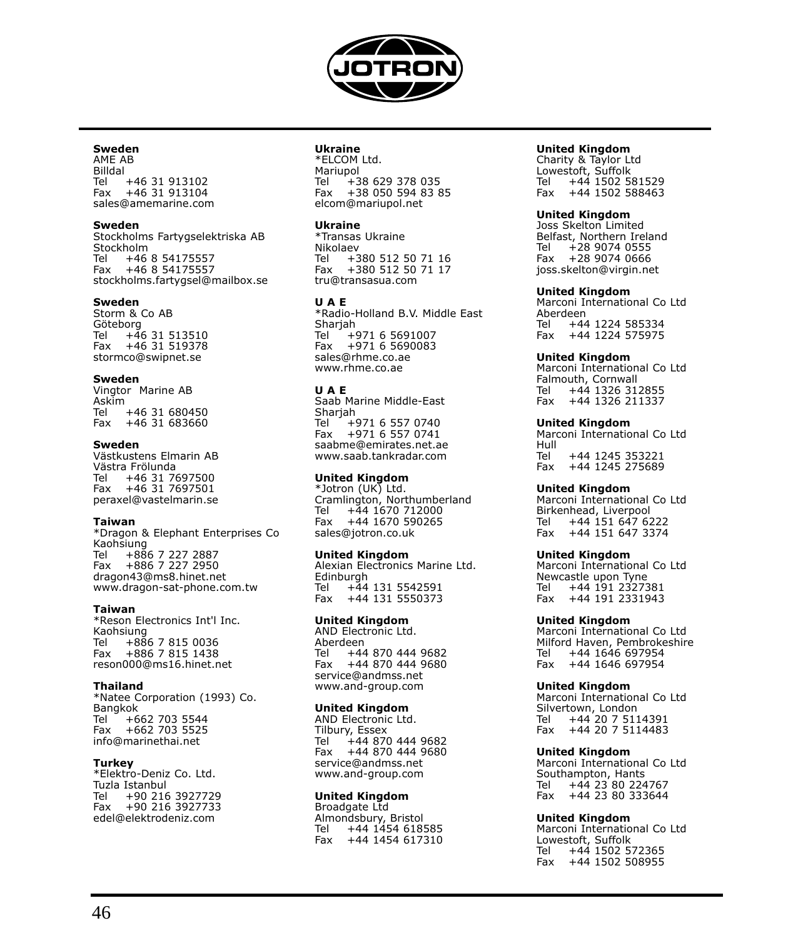![](_page_47_Picture_0.jpeg)

#### **Sweden**

AME AB ning<br>Billdal<br>Tel  $+46$  31 913102 Fax +46 31 913104 sales@amemarine.com

#### **Sweden**

Stockholms Fartygselektriska AB Stockholm Tel +46 8 54175557<br>Fax +46 8 54175557  $+46854175557$ stockholms.fartygsel@mailbox.se

#### **Sweden**

Storm & Co AB Göteborg Tel +46 31 513510 Fax +46 31 519378 stormco@swipnet.se

#### **Sweden**

Vingtor Marine AB Askim Tel +46 31 680450 Fax +46 31 683660

#### **Sweden**

Västkustens Elmarin AB Västra Frölunda  $+46\,31\,7697500$ Fax +46 31 7697501 peraxel@vastelmarin.se

#### **Taiwan**

\*Dragon & Elephant Enterprises Co Kaohsiung Tel +886 7 227 2887 Fax +886 7 227 2950 dragon43@ms8.hinet.net www.dragon-sat-phone.com.tw

#### **Taiwan**

\*Reson Electronics Int'l Inc. Kaohsiung Tel +886 7 815 0036 Fax +886 7 815 1438 reson000@ms16.hinet.net

#### **Thailand**

\*Natee Corporation (1993) Co. Bangkok Tel +662 703 5544 Fax +662 703 5525 info@marinethai.net

#### **Turkey**

\*Elektro-Deniz Co. Ltd. Tuzla Istanbul Tel +90 216 3927729 Fax +90 216 3927733 edel@elektrodeniz.com

#### **Ukraine**

\*ELCOM Ltd. Mariupol<br>Tel +3 +38 629 378 035 Fax +38 050 594 83 85 elcom@mariupol.net

#### **Ukraine**

\*Transas Ukraine Nikolaev Tel +380 512 50 71 16 Fax +380 512 50 71 17 tru@transasua.com

#### **U A E**

\*Radio-Holland B.V. Middle East Sharjah Tel +971 6 5691007 Fax +971 6 5690083 sales@rhme.co.ae www.rhme.co.ae

### **U A E**

Saab Marine Middle-East Sharjah<br>Tel +  $T+971$  6 557 0740 Fax +971 6 557 0741 saabme@emirates.net.ae www.saab.tankradar.com

#### **United Kingdom**

\*Jotron (UK) Ltd. Cramlington, Northumberland Tel +44 1670 712000 Fax +44 1670 590265 sales@jotron.co.uk

#### **United Kingdom**

Alexian Electronics Marine Ltd. Edinburgh Tel +44 131 5542591 Fax +44 131 5550373

#### **United Kingdom**

AND Electronic Ltd. Aberdeen<br>Tel +44 +44 870 444 9682 Fax +44 870 444 9680 service@andmss.net www.and-group.com

#### **United Kingdom**

AND Electronic Ltd. Tilbury, Essex<br>Tel +44 870  $+448704449682$ Fax +44 870 444 9680 service@andmss.net www.and-group.com

#### **United Kingdom**

Broadgate Ltd Almondsbury, Bristol Tel +44 1454 618585 Fax +44 1454 617310

#### **United Kingdom**

Charity & Taylor Ltd Lowestoft, Suffolk<br>Tel +44 1502 58  $+44$  1502 581529 Fax +44 1502 588463

#### **United Kingdom**

Joss Skelton Limited Belfast, Northern Ireland Tel +28 9074 0555 Fax +28 9074 0666 joss.skelton@virgin.net

#### **United Kingdom**

Marconi International Co Ltd Aberdeen Tel +44 1224 585334 Fax +44 1224 575975

#### **United Kingdom**

Marconi International Co Ltd Falmouth, Cornwall<br>Tel +44 1326 31  $+44$  1326 312855 Fax +44 1326 211337

#### **United Kingdom**

Marconi International Co Ltd Hull<br>Tel +44 1245 353221 Fax +44 1245 275689

#### **United Kingdom**

Marconi International Co Ltd Birkenhead, Liverpool Tel +44 151 647 6222 Fax +44 151 647 3374

#### **United Kingdom**

Marconi International Co Ltd Newcastle upon Tyne Tel +44 191 2327381 Fax +44 191 2331943

#### **United Kingdom**

Marconi International Co Ltd Milford Haven, Pembrokeshire Tel +44 1646 697954 Fax +44 1646 697954

#### **United Kingdom**

Marconi International Co Ltd Silvertown, London Tel +44 20 7 5114391 Fax +44 20 7 5114483

#### **United Kingdom**

Marconi International Co Ltd Southampton, Hants Tel +44 23 80 224767 Fax +44 23 80 333644

#### **United Kingdom**

Marconi International Co Ltd Lowestoft, Suffolk Tel +44 1502 572365 Fax +44 1502 508955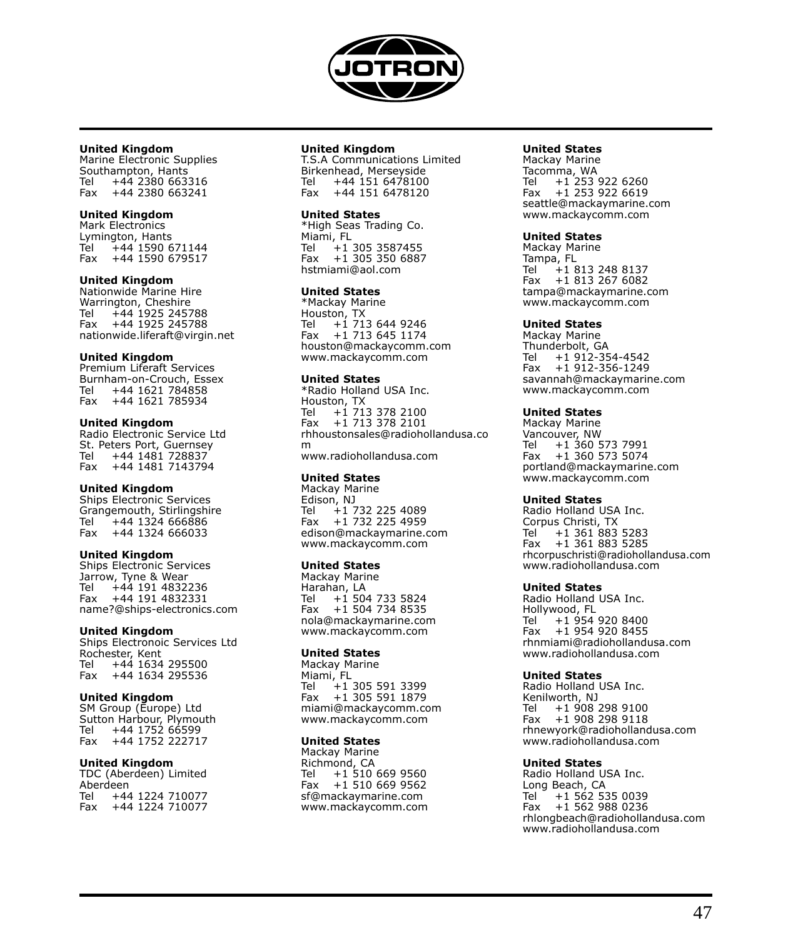![](_page_48_Picture_0.jpeg)

#### **United Kingdom**

Marine Electronic Supplies Southampton, Hants  $+44$  2380 663316 Fax +44 2380 663241

#### **United Kingdom**

Mark Electronics Lymington, Hants Tel +44 1590 671144<br>Eax +44 1590 679517  $+44$  1590 679517

#### **United Kingdom**

Nationwide Marine Hire Warrington, Cheshire<br>Tel +44 1925 2457 Tel +44 1925 245788 Fax +44 1925 245788 nationwide.liferaft@virgin.net

#### **United Kingdom**

Premium Liferaft Services Burnham-on-Crouch, Essex<br>Tel +44 1621 784858 +44 1621 784858 Fax +44 1621 785934

#### **United Kingdom**

Radio Electronic Service Ltd St. Peters Port, Guernsey<br>Tel +44 1481 728837 Tel +44 1481 728837 Fax +44 1481 7143794

#### **United Kingdom**

Ships Electronic Services Grangemouth, Stirlingshire<br>Tel +44 1324 666886 +44 1324 666886 Fax +44 1324 666033

#### **United Kingdom**

Ships Electronic Services Jarrow, Tyne & Wear Tel +44 191 4832236 Fax +44 191 4832331 name?@ships-electronics.com

#### **United Kingdom**

Ships Electronoic Services Ltd Rochester, Kent Tel +44 1634 295500 Fax +44 1634 295536

#### **United Kingdom**

SM Group (Europe) Ltd Sutton Harbour, Plymouth Tel +44 1752 66599 Fax +44 1752 222717

#### **United Kingdom**

TDC (Aberdeen) Limited Aberdeen<br>Tel +44 Tel +44 1224 710077<br>Fax +44 1224 710077 Fax +44 1224 710077

#### **United Kingdom**

T.S.A Communications Limited Birkenhead, Merseyside  $+44$  151 6478100 Fax +44 151 6478120

#### **United States**

\*High Seas Trading Co. Miami, FL<br>Tel +1 Tel +1 305 3587455<br>Fax +1 305 350 6887  $+1$  305 350 6887 hstmiami@aol.com

#### **United States**

\*Mackay Marine Houston, TX Tel +1 713 644 9246 Fax +1 713 645 1174 houston@mackaycomm.com www.mackaycomm.com

#### **United States**

\*Radio Holland USA Inc. Houston, TX<br>Tel +1 71 Tel +1 713 378 2100 Fax +1 713 378 2101 rhhoustonsales@radiohollandusa.co m www.radiohollandusa.com

#### **United States**

Mackay Marine Edison, NJ Tel +1 732 225 4089 Fax +1 732 225 4959 edison@mackaymarine.com www.mackaycomm.com

#### **United States**

Mackay Marine Harahan, LA Tel +1 504 733 5824<br>Fax +1 504 734 8535  $+1$  504 734 8535 nola@mackaymarine.com www.mackaycomm.com

#### **United States**

Mackay Marine Miami, FL Tel +1 305 591 3399 Fax +1 305 591 1879 miami@mackaycomm.com www.mackaycomm.com

#### **United States**

Mackay Marine Richmond, CA Tel +1 510 669 9560 Fax +1 510 669 9562 sf@mackaymarine.com www.mackaycomm.com

#### **United States**

Mackay Marine Tacomma, WA<br>Tel +1.253 Tel +1 253 922 6260<br>Fax +1 253 922 6619  $+1$  253 922 6619 seattle@mackaymarine.com www.mackaycomm.com

#### **United States**

Mackay Marine Tampa, FL<br>Tel +1 8 Tel +1 813 248 8137<br>Fax +1 813 267 6082  $+18132676082$ tampa@mackaymarine.com www.mackaycomm.com

#### **United States**

Mackay Marine Thunderbolt, GA<br>Tel +1 912-35 Tel +1 912-354-4542<br>Fax +1 912-356-1249  $+1$  912-356-1249 savannah@mackaymarine.com www.mackaycomm.com

#### **United States**

Mackay Marine Vancouver, NW<br>Tel  $+1$  360 5 Tel +1 360 573 7991 Fax +1 360 573 5074 portland@mackaymarine.com www.mackaycomm.com

#### **United States**

Radio Holland USA Inc. Corpus Christi, TX Tel +1 361 883 5283 Fax +1 361 883 5285 rhcorpuschristi@radiohollandusa.com www.radiohollandusa.com

#### **United States**

Radio Holland USA Inc. Hollywood, FL<br>Tel +1 954 Tel +1 954 920 8400 Fax +1 954 920 8455 rhnmiami@radiohollandusa.com www.radiohollandusa.com

#### **United States**

Radio Holland USA Inc. Kenilworth, NJ<br>Tel +1 908 2 Tel +1 908 298 9100 Fax +1 908 298 9118 rhnewyork@radiohollandusa.com www.radiohollandusa.com

#### **United States**

Radio Holland USA Inc. Long Beach, CA Tel +1 562 535 0039 Fax +1 562 988 0236 rhlongbeach@radiohollandusa.com www.radiohollandusa.com